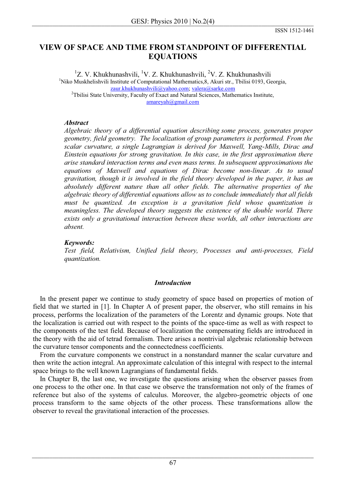# **VIEW OF SPACE AND TIME FROM STANDPOINT OF DIFFERENTIAL EQUATIONS**

<sup>1</sup>Z. V. Khukhunashvili, <sup>1</sup>V. Z. Khukhunashvili, <sup>2</sup>V. Z. Khukhunashvili <sup>1</sup>Niko Muskhelishvili Institute of Computational Mathematics, 8, Akuri str., Tbilisi 0193, Georgia, zaur.khukhunashvili@yahoo.com; valera@sarke.com <sup>2</sup>Tbilisi State University, Faculty of Exact and Natural Sciences, Mathematics Institute, amareyah@gmail.com

## *Abstract*

*Algebraic theory of a differential equation describing some process, generates proper geometry, field geometry. The localization of group parameters is performed. From the scalar curvature, a single Lagrangian is derived for Maxwell, Yang-Mills, Dirac and Einstein equations for strong gravitation. In this case, in the first approximation there arise standard interaction terms and even mass terms. In subsequent approximations the equations of Maxwell and equations of Dirac become non-linear. As to usual gravitation, though it is involved in the field theory developed in the paper, it has an absolutely different nature than all other fields. The alternative properties of the algebraic theory of differential equations allow us to conclude immediately that all fields must be quantized. An exception is a gravitation field whose quantization is meaningless. The developed theory suggests the existence of the double world. There exists only a gravitational interaction between these worlds, all other interactions are absent.* 

## *Keywords:*

*Test field, Relativism, Unified field theory, Processes and anti-processes, Field quantization.* 

### *Introduction*

 In the present paper we continue to study geometry of space based on properties of motion of field that we started in [1]. In Chapter A of present paper, the observer, who still remains in his process, performs the localization of the parameters of the Lorentz and dynamic groups. Note that the localization is carried out with respect to the points of the space-time as well as with respect to the components of the test field. Because of localization the compensating fields are introduced in the theory with the aid of tetrad formalism. There arises a nontrivial algebraic relationship between the curvature tensor components and the connectedness coefficients.

 From the curvature components we construct in a nonstandard manner the scalar curvature and then write the action integral. An approximate calculation of this integral with respect to the internal space brings to the well known Lagrangians of fundamental fields.

 In Chapter B, the last one, we investigate the questions arising when the observer passes from one process to the other one. In that case we observe the transformation not only of the frames of reference but also of the systems of calculus. Moreover, the algebro-geometric objects of one process transform to the same objects of the other process. These transformations allow the observer to reveal the gravitational interaction of the processes.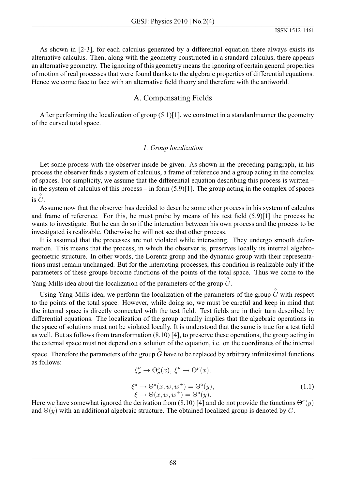As shown in [2-3], for each calculus generated by a differential equation there always exists its alternative calculus. Then, along with the geometry constructed in a standard calculus, there appears an alternative geometry. The ignoring of this geometry means the ignoring of certain general properties of motion of real processes that were found thanks to the algebraic properties of differential equations. Hence we come face to face with an alternative field theory and therefore with the antiworld.

# A. Compensating Fields

After performing the localization of group  $(5.1)$ [1], we construct in a standard manner the geometry of the curved total space.

## 1. Group localization

Let some process with the observer inside be given. As shown in the preceding paragraph, in his process the observer finds a system of calculus, a frame of reference and a group acting in the complex of spaces. For simplicity, we assume that the differential equation describing this process is written – in the system of calculus of this process – in form  $(5.9)[1]$ . The group acting in the complex of spaces is  $\ddot{G}$ .

Assume now that the observer has decided to describe some other process in his system of calculus and frame of reference. For this, he must probe by means of his test field  $(5.9)[1]$  the process he wants to investigate. But he can do so if the interaction between his own process and the process to be investigated is realizable. Otherwise he will not see that other process.

It is assumed that the processes are not violated while interacting. They undergo smooth deformation. This means that the process, in which the observer is, preserves locally its internal algebrogeometric structure. In other words, the Lorentz group and the dynamic group with their representations must remain unchanged. But for the interacting processes, this condition is realizable only if the parameters of these groups become functions of the points of the total space. Thus we come to the

Yang-Mills idea about the localization of the parameters of the group  $\ddot{G}$ .

Using Yang-Mills idea, we perform the localization of the parameters of the group  $G$  with respect to the points of the total space. However, while doing so, we must be careful and keep in mind that the internal space is directly connected with the test field. Test fields are in their turn described by differential equations. The localization of the group actually implies that the algebraic operations in the space of solutions must not be violated locally. It is understood that the same is true for a test field as well. But as follows from transformation  $(8.10)$  [4], to preserve these operations, the group acting in the external space must not depend on a solution of the equation, *i.e.* on the coordinates of the internal

space. Therefore the parameters of the group  $\tilde{G}$  have to be replaced by arbitrary infinitesimal functions as follows:

$$
\xi_{\sigma}^{a} \to \Theta_{\sigma}^{a}(x), \ \xi^{c} \to \Theta^{c}(x),
$$
  
\n
$$
\xi^{a} \to \Theta^{a}(x, w, w^{+}) = \Theta^{a}(y),
$$
  
\n
$$
\xi \to \Theta(x, w, w^{+}) = \Theta^{a}(y).
$$
\n(1.1)

Here we have somewhat ignored the derivation from (8.10) [4] and do not provide the functions  $\Theta^a(y)$ and  $\Theta(y)$  with an additional algebraic structure. The obtained localized group is denoted by G.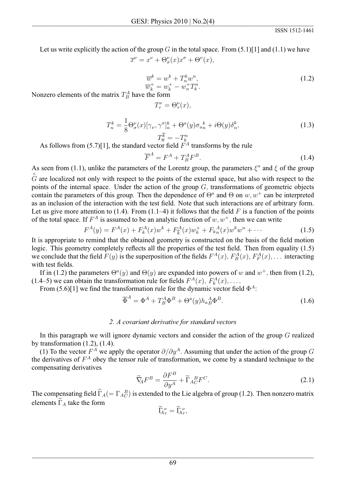Let us write explicitly the action of the group G in the total space. From  $(5.1)$ [1] and  $(1.1)$  we have

 $\overline{x}^{\nu} = x^{\nu} + \Theta_{\sigma}^{\nu}(x)x^{\sigma} + \Theta^{\nu}(x),$ 

$$
\overline{w}^k = w^k + T_n^k w^n, \n\overline{w}_k^+ = w_k^+ - w_n^+ T_k^n.
$$
\n(1.2)

Nonzero elements of the matrix  $T^A_B$  have the form

$$
T^{\nu}_{\tau} = \Theta^{\nu}_{\tau}(x),
$$

$$
T_n^k = \frac{1}{8} \Theta_{\sigma}^{\nu}(x) [\gamma_{\nu}, \gamma^{\sigma}]_n^k + \Theta^a(y) \sigma_{a_n}^k + i \Theta(y) \delta_n^k,
$$
  
\n
$$
T_{\overline{n}}^{\overline{k}} = -T_k^n
$$
\n(1.3)

As follows from (5.7)[1], the standard vector field  $F^A$  transforms by the rule

$$
\overline{F}^A = F^A + T^A_B F^B. \tag{1.4}
$$

As seen from (1.1), unlike the parameters of the Lorentz group, the parameters  $\xi^a$  and  $\xi$  of the group  $\tilde{G}$  are localized not only with respect to the points of the external space, but also with respect to the points of the internal space. Under the action of the group  $G$ , transformations of geometric objects contain the parameters of this group. Then the dependence of  $\Theta^a$  and  $\Theta$  on w,  $w^+$  can be interpreted as an inclusion of the interaction with the test field. Note that such interactions are of arbitrary form. Let us give more attention to (1.4). From (1.1–4) it follows that the field F is a function of the points of the total space. If  $F^A$  is assumed to be an analytic function of  $w, w^+$ , then we can write

$$
F^{A}(y) = F^{A}(x) + F_{k}^{A}(x)w^{k} + F_{k}^{A}(x)w_{k}^{+} + F_{k}^{A}(x)w^{k}w^{n} + \cdots
$$
 (1.5)

It is appropriate to remind that the obtained geometry is constructed on the basis of the field motion logic. This geometry completely reflects all the properties of the test field. Then from equality (1.5) we conclude that the field  $F(y)$  is the superposition of the fields  $F^{A}(x)$ ,  $F^{A}_{B}(x)$ ,  $F^{A}_{F}(x)$ , ... interacting with test fields.

If in (1.2) the parameters  $\Theta^a(y)$  and  $\Theta(y)$  are expanded into powers of w and  $w^+$ , then from (1.2), (1.4–5) we can obtain the transformation rule for fields  $F^{A}(x)$ ,  $F_{k}^{A}(x)$ , ...

From (5.6)[1] we find the transformation rule for the dynamic vector field  $\Phi^A$ :

$$
\overline{\Phi}^A = \Phi^A + T_B^A \Phi^B + \Theta^a(y) h_{a}^A \Phi^B. \tag{1.6}
$$

### 2. A covariant derivative for standard vectors

In this paragraph we will ignore dynamic vectors and consider the action of the group  $G$  realized by transformation  $(1.2)$ ,  $(1.4)$ .

(1) To the vector  $F^A$  we apply the operator  $\partial/\partial y^A$ . Assuming that under the action of the group G the derivatives of  $F^A$  obey the tensor rule of transformation, we come by a standard technique to the compensating derivatives

$$
\widetilde{\nabla}_{\!\!A} F^B = \frac{\partial F^B}{\partial y^A} + \widetilde{\Gamma}_{A_C}^{\ \ B} F^C. \tag{2.1}
$$

The compensating field  $\widetilde{\Gamma}_A(=\Gamma_{A}\widetilde{E})$  is extended to the Lie algebra of group (1.2). Then nonzero matrix elements  $\widetilde{\Gamma}_A$  take the form

$$
\widetilde{\rm I}_{\!A\tau}^{\;\nu}=\widetilde{\rm I}_{\!A\tau}^{\;\nu},\quad
$$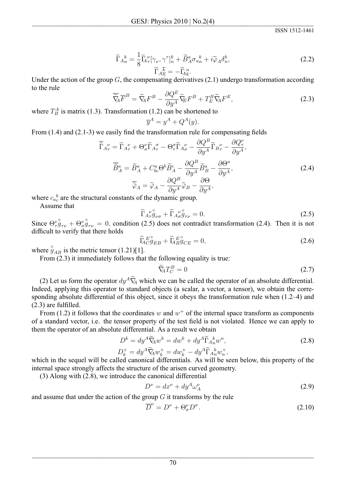**ISSN 1512-1461** 

$$
\widetilde{\Gamma}_{A_n^k} = \frac{1}{8} \widetilde{\Gamma}_{A_\tau}^{\nu} [\gamma_{\nu}, \gamma^{\tau}]_n^k + \widetilde{B}_A^a \sigma_{a_n^k} + i \widetilde{\varphi}_A \delta_n^k, \n\widetilde{\Gamma}_{A_n^k} = -\widetilde{\Gamma}_{A_k^k}^{\ n}.
$$
\n(2.2)

Under the action of the group  $G$ , the compensating derivatives (2.1) undergo transformation according to the rule

$$
\overline{\widetilde{\nabla}}_{\!\!\!A} \overline{F}^B = \widetilde{\nabla}_{\!\!A} F^B - \frac{\partial Q^E}{\partial y^A} \widetilde{\nabla}_{\!\!E} F^B + T^B_E \widetilde{\nabla}_{\!\!A} F^E,\tag{2.3}
$$

where  $T_B^A$  is matrix (1.3). Transformation (1.2) can be shortened to

$$
\overline{y}^A = y^A + Q^A(y).
$$

From  $(1.4)$  and  $(2.1-3)$  we easily find the transformation rule for compensating fields

$$
\overline{\widetilde{\Gamma}}_{A_{\tau}^{\nu}}^{\nu} = \widetilde{\Gamma}_{A_{\tau}^{\nu}}^{\nu} + \Theta_{\sigma}^{\nu} \widetilde{\Gamma}_{A_{\tau}^{\sigma}}^{\sigma} - \Theta_{\tau}^{\sigma} \widetilde{\Gamma}_{A_{\sigma}^{\nu}}^{\nu} - \frac{\partial Q^{B}}{\partial y^{A}} \widetilde{\Gamma}_{B_{\tau}^{\nu}}^{\nu} - \frac{\partial Q_{\tau}^{\nu}}{\partial y^{A}},
$$
\n
$$
\overline{\widetilde{B}}_{A}^{a} = \widetilde{B}_{A}^{a} + C_{bc}^{a} \Theta^{b} \widetilde{B}_{A}^{c} - \frac{\partial Q^{B}}{\partial y^{A}} \widetilde{B}_{B}^{a} - \frac{\partial \Theta^{a}}{\partial y^{A}},
$$
\n
$$
\overline{\widetilde{\varphi}}_{A} = \widetilde{\varphi}_{A} - \frac{\partial Q^{B}}{\partial y^{A}} \widetilde{\varphi}_{B} - \frac{\partial \Theta}{\partial y^{A}},
$$
\n(2.4)

where  $c_{a}{}_{c}^{b}$  are the structural constants of the dynamic group.

Assume that

$$
\widetilde{\Gamma}_{A_{\tau}}^{\nu^{\circ}} g_{\nu\sigma} + \widetilde{\Gamma}_{A_{\sigma}}^{\nu^{\circ}} g_{\tau\nu} = 0. \tag{2.5}
$$

Since  $\Theta_{\tau}^{\nu} \hat{g}_{\tau\nu} + \Theta_{\sigma}^{\nu} \hat{g}_{\tau\nu} = 0$ , condition (2.5) does not contradict transformation (2.4). Then it is not difficult to verify that there holds

$$
\widetilde{\mathbf{L}}_{C}^{E^{\circ}} g_{EB} + \widetilde{\mathbf{L}}_{B}^{E^{\circ}} g_{CE} = 0, \tag{2.6}
$$

where  $\hat{g}_{AB}$  is the metric tensor (1.21)[1].<br>From (2.3) it immediately follows that the following equality is true:

$$
\widetilde{\nabla}_{\!\!A} T_C^B = 0 \tag{2.7}
$$

(2) Let us form the operator  $dy^A \tilde{V}_A$  which we can be called the operator of an absolute differential. Indeed, applying this operator to standard objects (a scalar, a vector, a tensor), we obtain the corresponding absolute differential of this object, since it obeys the transformation rule when  $(1.2-4)$  and  $(2.3)$  are fulfilled.

From (1.2) it follows that the coordinates w and  $w^+$  of the internal space transform as components of a standard vector, *i.e.* the tensor property of the test field is not violated. Hence we can apply to them the operator of an absolute differential. As a result we obtain

$$
D^{k} = dy^{A} \widetilde{\nabla}_{\!A} w^{k} = dw^{k} + dy^{A} \widetilde{\Gamma}_{A}{}^{k}_{n} w^{n},
$$
\n
$$
\nabla^{+} W^{A} \widetilde{\nabla}_{A} w^{k} = dw^{k} + dy^{A} \widetilde{\Gamma}_{A}{}^{k}_{n} w^{n},
$$
\n(2.8)

$$
D_k^+ = dy^A \widetilde{\nabla}_{\!\!A} w_k^+ = dw_k^+ - dy^A \widetilde{\Gamma}_{A_n}^{\ k} w_n^+,
$$

which in the sequel will be called canonical differentials. As will be seen below, this property of the internal space strongly affects the structure of the arisen curved geometry.

 $(3)$  Along with  $(2.8)$ , we introduce the canonical differential

$$
D^{\nu} = dx^{\nu} + dy^A \omega_A^{\nu}
$$
\n(2.9)

and assume that under the action of the group  $G$  it transforms by the rule

$$
\overline{D}^{\nu} = D^{\nu} + \Theta_{\sigma}^{\nu} D^{\sigma}.
$$
\n(2.10)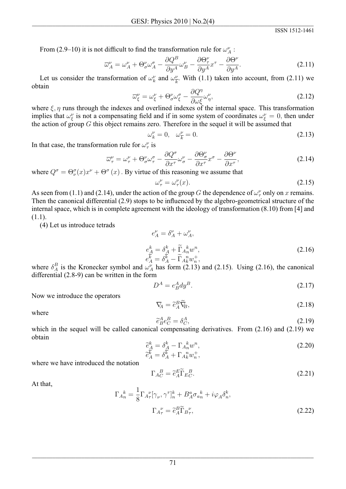**ISSN 1512-1461** 

From (2.9–10) it is not difficult to find the transformation rule for  $\omega_A^{\nu}$ .

$$
\overline{\omega}_{A}^{\nu} = \omega_{A}^{\nu} + \Theta_{\sigma}^{\nu}\omega_{A}^{\sigma} - \frac{\partial Q^{B}}{\partial y^{A}}\omega_{B}^{\nu} - \frac{\partial \Theta_{\tau}^{\nu}}{\partial y^{A}}x^{\tau} - \frac{\partial \Theta^{\nu}}{\partial y^{A}}.
$$
\n(2.11)

Let us consider the transformation of  $\omega_k^{\nu}$  and  $\omega_{\overline{k}}^{\nu}$ . With (1.1) taken into account, from (2.11) we obtain

$$
\overline{\omega}_{\xi}^{\nu} = \omega_{\xi}^{\nu} + \Theta_{\sigma}^{\nu} \omega_{\xi}^{\sigma} - \frac{\partial Q^{\eta}}{\partial \omega_{\xi}^{\nu}} \omega_{\eta}^{\nu},\tag{2.12}
$$

where  $\xi$ ,  $\eta$  runs through the indexes and overlined indexes of the internal space. This transformation implies that  $\omega_{\xi}^{\nu}$  is not a compensating field and if in some system of coordinates  $\omega_{\xi}^{\nu} = 0$ , then under the action of group G this object remains zero. Therefore in the sequel it will be assumed that

$$
\omega_k^{\nu} = 0, \quad \omega_{\overline{k}}^{\nu} = 0. \tag{2.13}
$$

In that case, the transformation rule for  $\omega_{\tau}^{\nu}$  is

$$
\overline{\omega}_{\tau}^{\nu} = \omega_{\tau}^{\nu} + \Theta_{\sigma}^{\nu} \omega_{\tau}^{\sigma} - \frac{\partial Q^{\sigma}}{\partial x^{\tau}} \omega_{\sigma}^{\nu} - \frac{\partial \Theta_{\sigma}^{\nu}}{\partial x^{\tau}} x^{\sigma} - \frac{\partial \Theta^{\nu}}{\partial x^{\tau}},
$$
\n(2.14)

where  $Q^{\sigma} = \Theta_{\nu}^{\sigma}(x)x^{\nu} + \Theta^{\sigma}(x)$ . By virtue of this reasoning we assume that

 $\epsilon$ 

$$
\omega_{\tau}^{\nu} = \omega_{\tau}^{\nu}(x). \tag{2.15}
$$

As seen from (1.1) and (2.14), under the action of the group G the dependence of  $\omega_{\tau}^{\nu}$  only on x remains. Then the canonical differential (2.9) stops to be influenced by the algebro-geometrical structure of the internal space, which is in complete agreement with the ideology of transformation (8.10) from [4] and  $(1.1).$ 

(4) Let us introduce tetrads

$$
e_A^{\nu} = \delta_A^{\nu} + \omega_A^{\nu},
$$
  
\n
$$
e_A^k = \delta_A^k + \widetilde{\Gamma}_A{}^k_n w^n,
$$
  
\n
$$
e_A^k = \delta_A^k - \widetilde{\Gamma}_A{}^n_k w_n^+,
$$
\n(2.16)

where  $\delta_A^B$  is the Kronecker symbol and  $\omega_A^V$  has form (2.13) and (2.15). Using (2.16), the canonical differential  $(2.8-9)$  can be written in the form

$$
D^A = e^A_B dy^B. \tag{2.17}
$$

Now we introduce the operators

$$
\nabla_{\!\!A} = \tilde{e}_A^B \tilde{\nabla}_{\!\!B},\tag{2.18}
$$

where

$$
\widetilde{e}_R^A e_C^B = \delta_C^A,\tag{2.19}
$$

which in the sequel will be called canonical compensating derivatives. From  $(2.16)$  and  $(2.19)$  we obtain

$$
\begin{aligned}\n\tilde{e}_A^k &= \delta_A^k - \Gamma_{A_n}^k w^n, \\
\tilde{e}_A^{\overline{k}} &= \delta_{A}^{\overline{k}} + \Gamma_{A_k}^n w_n^+, \n\end{aligned} \n(2.20)
$$

where we have introduced the notation

$$
\Gamma_{AC}^{B} = \tilde{e}_{A}^{E} \tilde{\Gamma}_{EC}^{B}.
$$
\n(2.21)

At that,

$$
\Gamma_{A_n}^{\ k} = \frac{1}{8} \Gamma_{A_\tau}^{\ \nu} [\gamma_\nu, \gamma^\tau]_n^k + B_A^a \sigma_{a_n}^{\ k} + i \varphi_A \delta_n^k,
$$

$$
\Gamma_{A_\tau}^{\ \nu} = \tilde{e}_A^B \tilde{\Gamma}_{B_\tau}^{\ \nu},
$$
(2.22)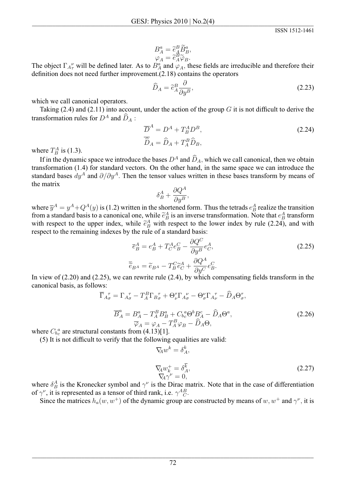$$
B^a_A = \tilde{e}^B_A \tilde{B}^a_B,
$$
  

$$
\varphi_A = \tilde{e}^B_A \tilde{\varphi}_B.
$$

The object  $\Gamma_{A\tau}^{\nu}$  will be defined later. As to  $B^a_A$  and  $\varphi_A$ , these fields are irreducible and therefore their definition does not need further improvement. $(2.18)$  contains the operators

$$
\widehat{D}_A = \widetilde{e}_A^B \frac{\partial}{\partial y^B},\tag{2.23}
$$

which we call canonical operators.

Taking  $(2.4)$  and  $(2.11)$  into account, under the action of the group G it is not difficult to derive the transformation rules for  $D^A$  and  $\widehat{D}_A$ :

$$
\overline{D}^A = D^A + T^A_B D^B,
$$
  
\n
$$
\overline{\hat{D}}_A = \widehat{D}_A + T^B_A \widehat{D}_B,
$$
\n(2.24)

where  $T^A_B$  is (1.3).

If in the dynamic space we introduce the bases  $D^A$  and  $\widehat{D}_A$ , which we call canonical, then we obtain transformation (1.4) for standard vectors. On the other hand, in the same space we can introduce the standard bases  $dy^A$  and  $\partial/\partial y^A$ . Then the tensor values written in these bases transform by means of the matrix

$$
\delta^A_B + \frac{\partial Q^A}{\partial y^B},
$$

where  $\overline{y}^A = y^A + Q^A(y)$  is (1.2) written in the shortened form. Thus the tetrads  $e^A_B$  realize the transition from a standard basis to a canonical one, while  $\tilde{e}_B^A$  is an inverse transformation. Note that  $e_B^A$  transform with respect to the upper index, while  $\tilde{e}_B^A$  with respect to the lower index by rule (2.24), and with respect to the remaining indexes by the rule of a standard basis:

$$
\overline{e}_{B}^{A} = e_{B}^{A} + T_{C}^{A} e_{B}^{C} - \frac{\partial Q^{C}}{\partial y^{B}} e_{C}^{A},
$$
\n
$$
\overline{\tilde{e}}_{B^{A}} = \widetilde{e}_{B^{A}} - T_{B}^{C} \widetilde{e}_{C}^{A} + \frac{\partial Q^{A}}{\partial y^{C}} e_{B}^{C}.
$$
\n(2.25)

In view of  $(2.20)$  and  $(2.25)$ , we can rewrite rule  $(2.4)$ , by which compensating fields transform in the canonical basis, as follows:

$$
\overline{\Gamma}_{A\sigma}^{\tau} = \Gamma_{A\sigma}^{\tau} - T_A^B \Gamma_{B\sigma}^{\tau} + \Theta_{\nu}^{\tau} \Gamma_{A\sigma}^{\nu} - \Theta_{\sigma}^{\nu} \Gamma_{A\nu}^{\tau} - \tilde{D}_A \Theta_{\sigma}^{\tau},
$$
\n
$$
\overline{B}_A^a = B_A^a - T_A^B B_B^a + C_b^a \Theta^b B_A^c - \widehat{D}_A \Theta^a,
$$
\n
$$
\overline{\varphi}_A = \varphi_A - T_A^B \varphi_B - \widehat{D}_A \Theta.
$$
\n(2.26)

where  $C_{b_c}^a$  are structural constants from (4.13)[1].

(5) It is not difficult to verify that the following equalities are valid:

$$
\nabla_{\!\!A} w^k = \delta^k_A
$$

$$
\nabla_{\!\!A} w_k^+ = \delta_A^{\overline{k}}, \n\nabla_{\!\!A} \gamma^\nu = 0,
$$
\n(2.27)

where  $\delta_B^A$  is the Kronecker symbol and  $\gamma^{\nu}$  is the Dirac matrix. Note that in the case of differentiation of  $\gamma^{\nu}$ , it is represented as a tensor of third rank, i.e.  $\gamma^{AB}_{C}$ .

Since the matrices  $h_a(w, w^+)$  of the dynamic group are constructed by means of w,  $w^+$  and  $\gamma^{\nu}$ , it is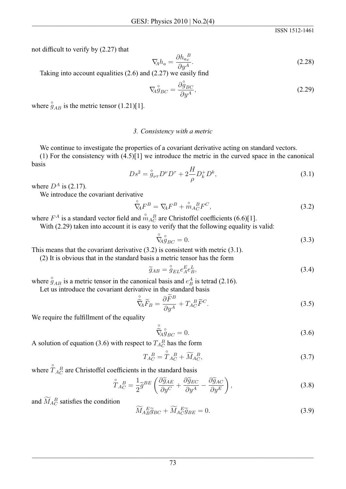ISSN 1512-1461

not difficult to verify by (2.27) that

$$
\nabla_{\!\!A} h_a = \frac{\partial h_{a_c}^{\ B}}{\partial y^A}.
$$
\n(2.28)

Taking into account equalities  $(2.6)$  and  $(2.27)$  we easily find

$$
\nabla_{\!A} \stackrel{\circ}{g}_{BC} = \frac{\partial \stackrel{\circ}{g}_{BC}}{\partial y^A},\tag{2.29}
$$

where  $\hat{g}_{AB}$  is the metric tensor (1.21)[1].

### 3. Consistency with a metric

We continue to investigate the properties of a covariant derivative acting on standard vectors.

(1) For the consistency with  $(4.5)[1]$  we introduce the metric in the curved space in the canonical basis

$$
Ds^{2} = \overset{\circ}{g}_{\nu\tau}D^{\nu}D^{\tau} + 2\frac{H}{\rho}D_{k}^{+}D^{k}, \tag{3.1}
$$

where  $D^A$  is (2.17).

We introduce the covariant derivative

$$
\mathring{\nabla}_{\!\!A} F^B = \nabla_{\!\!A} F^B + \mathring{m}_A^B_C F^C,\tag{3.2}
$$

where  $F^A$  is a standard vector field and  $\mathring{m}_{A_C}^B$  are Christoffel coefficients (6.6)[1].

With (2.29) taken into account it is easy to verify that the following equality is valid:

$$
\nabla_A g_{BC} = 0. \n\tag{3.3}
$$

This means that the covariant derivative  $(3.2)$  is consistent with metric  $(3.1)$ .

(2) It is obvious that in the standard basis a metric tensor has the form

$$
\widetilde{g}_{AB} = \overset{\circ}{g}_{EL} e_A^E e_B^L,\tag{3.4}
$$

where  $\hat{g}_{AB}$  is a metric tensor in the canonical basis and  $e_B^A$  is tetrad (2.16).

Let us introduce the covariant derivative in the standard basis

$$
\tilde{\nabla}_{\!\!A} \tilde{F}_B = \frac{\partial \tilde{F}^B}{\partial y^A} + T_{AC}^{\ B} \tilde{F}^C.
$$
\n(3.5)

We require the fulfillment of the equality

$$
\tilde{\widetilde{\nabla}}_{A}^{\circ} \mathring{g}_{BC} = 0. \tag{3.6}
$$

A solution of equation (3.6) with respect to  $T_{AC}^{B}$  has the form

$$
T_{AC}^{\ B} = \mathring{T}_{AC}^{\ B} + \widetilde{M}_{AC}^{\ B},\tag{3.7}
$$

where  $\overset{\circ}{T}_{A_C}^B$  are Christoffel coefficients in the standard basis

$$
\mathring{T}_{AC}^{B} = \frac{1}{2} \widetilde{g}^{BE} \left( \frac{\partial \widetilde{g}_{AE}}{\partial y^{C}} + \frac{\partial \widetilde{g}_{EC}}{\partial y^{A}} - \frac{\partial \widetilde{g}_{AC}}{\partial y^{E}} \right), \tag{3.8}
$$

and  $\widetilde{M}_{AC}^B$  satisfies the condition

$$
\widetilde{M}_{AB}\widetilde{g}_{BC} + \widetilde{M}_{AC}\widetilde{g}_{BE} = 0. \tag{3.9}
$$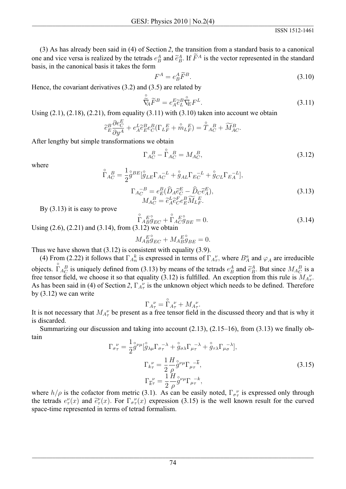(3) As has already been said in (4) of Section 2, the transition from a standard basis to a canonical one and vice versa is realized by the tetrads  $e^A_B$  and  $\tilde{e}^A_B$ . If  $\tilde{F}^A$  is the vector represented in the standard basis, in the canonical basis it takes the form

$$
F^A = e^A_B \widetilde{F}^B. \tag{3.10}
$$

Hence, the covariant derivatives  $(3.2)$  and  $(3.5)$  are related by

$$
\hat{\widetilde{\nabla}}_A \widetilde{F}^B = e_A^E \widetilde{e}_L^B \widetilde{\nabla}_E F^L. \tag{3.11}
$$

Using  $(2.1)$ ,  $(2.18)$ ,  $(2.21)$ , from equality  $(3.11)$  with  $(3.10)$  taken into account we obtain

$$
\widetilde{e}_E^B \frac{\partial e_C^E}{\partial y^A} + e_A^L \widetilde{e}_E^B e_C^B (\Gamma_{LF}^E + \overset{\circ}{m}_L^E) = \overset{\circ}{T}_{AC}^B + \widetilde{M}_{AC}^B
$$

After lengthy but simple transformations we obtain

$$
\Gamma_{AC}^{\ B} - \stackrel{\circ}{\Gamma}_{AC}^{\ B} = M_{AC}^{\ B},\tag{3.12}
$$

where

$$
\tilde{\Gamma}_{AC}^{B} = \frac{1}{2} \mathcal{G}^{BE} [\mathcal{G}_{LE} \Gamma_{AC}^{-L} + \mathcal{G}_{AL} \Gamma_{EC}^{-L} + \mathcal{G}_{CL} \Gamma_{EA}^{-L}],
$$
\n
$$
\Gamma_{AC}^{-B} = e_E^B (\widehat{D}_A \widetilde{e}_C^E - \widehat{D}_C \widetilde{e}_A^E),
$$
\n
$$
M_{AC}^{B} = \widetilde{e}_A^L \widetilde{e}_C^E e_B^B \widetilde{M}_L \widetilde{e}_R^E.
$$
\n(3.13)

By  $(3.13)$  it is easy to prove

$$
\mathring{\Gamma}_{A}^{E} \mathring{g}_{EC}^{S} + \mathring{\Gamma}_{A}^{E} \mathring{g}_{BE}^{S} = 0.
$$
\n(3.14)

Using  $(2.6)$ ,  $(2.21)$  and  $(3.14)$ , from  $(3.12)$  we obtain

$$
M_{AB}^{E^{\circ}} \mathcal{G}_{EC} + M_{AB}^{E^{\circ}} \mathcal{G}_{BE} = 0.
$$

Thus we have shown that  $(3.12)$  is consistent with equality  $(3.9)$ .

(4) From (2.22) it follows that  $\Gamma_{A_n}^k$  is expressed in terms of  $\Gamma_{A_n}^{\nu}$ , where  $B_A^a$  and  $\varphi_A$  are irreducible objects.  $\hat{\Gamma}_{AC}^{B}$  is uniquely defined from (3.13) by means of the tetrads  $e_B^A$  and  $\tilde{e}_B^A$ . But since  $M_{AC}^{B}$  is a free tensor field, we choose it so that equality (3.12) is fulfilled. An exception from this rule is  $M_{A\tau}^{\nu}$ . As has been said in (4) of Section 2,  $\Gamma_{A_{\tau}}^{\mu}$  is the unknown object which needs to be defined. Therefore by  $(3.12)$  we can write

$$
\Gamma_{A_{\tau}}^{\nu} = \mathop{\Gamma}\limits^{\circ}_{A_{\tau}} + M_{A_{\tau}}^{\nu}.
$$

It is not necessary that  $M_{A_{\tau}}^{\nu}$  be present as a free tensor field in the discussed theory and that is why it is discarded.

Summarizing our discussion and taking into account  $(2.13)$ ,  $(2.15-16)$ , from  $(3.13)$  we finally obtain

$$
\Gamma_{\sigma\tau}^{\nu} = \frac{1}{2} \mathring{g}^{\nu\mu} [\mathring{g}_{\lambda\mu} \Gamma_{\sigma\tau}^{-\lambda} + \mathring{g}_{\sigma\lambda} \Gamma_{\mu\tau}^{-\lambda} + \mathring{g}_{\tau\lambda} \Gamma_{\mu\sigma}^{-\lambda}],
$$
\n
$$
\Gamma_{k\tau}^{\nu} = \frac{1}{2} \frac{H}{\rho} \mathring{g}^{\nu\mu} \Gamma_{\mu\tau}^{-\overline{k}},
$$
\n
$$
\Gamma_{k\tau}^{\nu} = \frac{1}{2} \frac{H}{\rho} \mathring{g}^{\nu\mu} \Gamma_{\mu\tau}^{-k},
$$
\n(3.15)

where  $h/\rho$  is the cofactor from metric (3.1). As can be easily noted,  $\Gamma_{\sigma_{\tau}}^{\nu}$  is expressed only through the tetrads  $e_{\tau}^{\nu}(x)$  and  $\tilde{e}_{\tau}^{\nu}(x)$ . For  $\Gamma_{\sigma}^{\nu}(x)$  expression (3.15) is the well known result for the curved space-time represented in terms of tetrad formalism.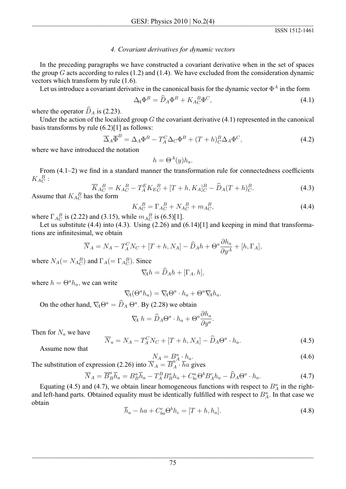## 4. Covariant derivatives for dynamic vectors

In the preceding paragraphs we have constructed a covariant derivative when in the set of spaces the group  $G$  acts according to rules (1.2) and (1.4). We have excluded from the consideration dynamic vectors which transform by rule  $(1.6)$ .

Let us introduce a covariant derivative in the canonical basis for the dynamic vector  $\Phi^A$  in the form

$$
\Delta_{\!A} \Phi^B = \widehat{D}_A \Phi^B + K_{AC}^{\ B} \Phi^C,\tag{4.1}
$$

where the operator  $\widehat{D}_A$  is (2.23).

Under the action of the localized group  $G$  the covariant derivative  $(4.1)$  represented in the canonical basis transforms by rule  $(6.2)$ [1] as follows:

$$
\overline{\Delta}_A \overline{\Phi}^B = \Delta_A \Phi^B - T_A^C \Delta_C \Phi^B + (T + h)_C^B \Delta_A \Phi^C, \tag{4.2}
$$

where we have introduced the notation

$$
h = \Theta^A(y)h_a.
$$

From  $(4.1-2)$  we find in a standard manner the transformation rule for connectedness coefficients  $K_{AC}^{\ \ B}$ :

$$
\overline{K}_{AC}^{B} = K_{AC}^{B} - T_{A}^{E} K_{EC}^{B} + [T + h, K_{A}]_{C}^{B} - \widehat{D}_{A} (T + h)_{C}^{B}.
$$
\n(4.3)

Assume that  $K_{AC}^{\ B}$  has the form

$$
K_{AC}^{B} = \Gamma_{AC}^{B} + N_{AC}^{B} + m_{AC}^{B},
$$
\n(4.4)

where  $\Gamma_{AC}^{B}$  is (2.22) and (3.15), while  $m_{AC}^{B}$  is (6.5)[1].

Let us substitute  $(4.4)$  into  $(4.3)$ . Using  $(2.26)$  and  $(6.14)[1]$  and keeping in mind that transformations are infinitesimal, we obtain

$$
\overline{N}_A = N_A - T_A^C N_C + [T + h, N_A] - \widehat{D}_A h + \Theta^a \frac{\partial h_a}{\partial y^A} + [h, \Gamma_A],
$$

where  $N_A (= N_{A_C}^B)$  and  $\Gamma_A (= \Gamma_{A_C}^B)$ . Since

$$
\nabla_{\!\!A}h = \widehat{D}_A h + [\Gamma_A, h],
$$

where  $h = \Theta^a h_a$ , we can write

$$
\mathcal{V}_A(\Theta^a h_a) = \nabla_{\!\!A} \Theta^a \cdot h_a + \Theta^a \nabla_{\!\!A} h_a
$$

On the other hand,  $\nabla_A \Theta^a = \widehat{D}_A \Theta^a$ . By (2.28) we obtain

$$
\nabla_{\!\! A} \; h = \widehat{D}_A \Theta^a \cdot h_a + \Theta^a \frac{\partial h_a}{\partial y^a}
$$

Then for  $N_a$  we have

$$
\overline{N}_a = N_A - T_A^C N_C + [T + h, N_A] - \widehat{D}_A \Theta^a \cdot h_a.
$$
\n(4.5)

Assume now that

The substitution of expression (2.26) into 
$$
\overline{N}_A = \overline{B}_A^a \cdot h_a
$$
.  
(4.6)

$$
\overline{N}_A = \overline{B}_B^a \overline{h}_a = B_B^a \overline{h}_a - T_A^B B_B^a h_a + C_{bc}^a \Theta^b B_A^c h_a - \widehat{D}_A \Theta^a \cdot h_a.
$$
\n(4.7)

Equating (4.5) and (4.7), we obtain linear homogeneous functions with respect to  $B<sub>A</sub><sup>a</sup>$  in the rightand left-hand parts. Obtained equality must be identically fulfilled with respect to  $B_A^a$ . In that case we obtain

$$
\overline{h}_a - ha + C^c_{ba} \Theta^b h_c = [T + h, h_a]. \tag{4.8}
$$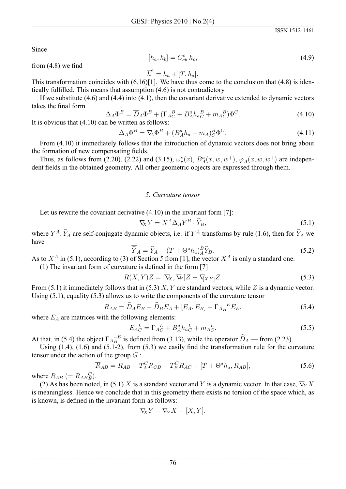Since

$$
[h_a, h_b] = C_{ab}^c \; h_c,\tag{4.9}
$$

from  $(4.8)$  we find

$$
\overline{h}^a = h_a + [T, h_a].
$$

This transformation coincides with  $(6.16)[1]$ . We have thus come to the conclusion that  $(4.8)$  is identically fulfilled. This means that assumption (4.6) is not contradictory.

If we substitute  $(4.6)$  and  $(4.4)$  into  $(4.1)$ , then the covariant derivative extended to dynamic vectors takes the final form

$$
\Delta_A \Phi^B = \overline{D}_A \Phi^B + (\Gamma_{AC}^B + B_A^a h_{aC}^B + m_{AC}^B) \Phi^C.
$$
\n
$$
\text{It is obvious that (4.10) can be written as follows:}
$$
\n
$$
\Delta_A \Phi^B = \overline{D}_A \Phi^B + (\Gamma_{AC}^B + B_A^a h_{aC}^B + m_{AC}^B) \Phi^C.
$$
\n
$$
\tag{4.10}
$$

$$
\Delta_A \Phi^B = \nabla_A \Phi^B + (B_A^a h_a + m_A)^B_C \Phi^C.
$$
\n(4.11)

From (4.10) it immediately follows that the introduction of dynamic vectors does not bring about the formation of new compensating fields.

Thus, as follows from (2.20), (2.22) and (3.15),  $\omega_{\tau}^{\nu}(x)$ ,  $B_{A}^{a}(x, w, w^{+})$ ,  $\varphi_{A}(x, w, w^{+})$  are independent fields in the obtained geometry. All other geometric objects are expressed through them.

#### 5. Curvature tensor

Let us rewrite the covariant derivative  $(4.10)$  in the invariant form [7]:

$$
\nabla_X Y = X^A \Delta_A Y^B \cdot \widehat{Y}_B,\tag{5.1}
$$

where  $Y^A$ ,  $\hat{Y}_A$  are self-conjugate dynamic objects, i.e. if  $Y^A$  transforms by rule (1.6), then for  $\hat{Y}_A$  we have

$$
\overline{\hat{Y}}_A = \hat{Y}_A - (T + \Theta^a h_a)_A^B \hat{Y}_B.
$$
\n(5.2)

As to  $X^A$  in (5.1), according to (3) of Section 5 from [1], the vector  $X^A$  is only a standard one. (1) The invariant form of curvature is defined in the form [7]

$$
R(X,Y)Z = [\nabla_X, \nabla_Y]Z - \nabla_{[X,Y]}Z.
$$
\n(5.3)

From (5.1) it immediately follows that in (5.3) X, Y are standard vectors, while Z is a dynamic vector. Using  $(5.1)$ , equality  $(5.3)$  allows us to write the components of the curvature tensor

$$
R_{AB} = \widehat{D}_A E_B - \widehat{D}_B E_A + [E_A, E_B] - \Gamma_A \overline{B}^E E_B, \tag{5.4}
$$

where  $E_A$  are matrices with the following elements:

$$
E_{AC}^{L} = \Gamma_{AC}^{L} + B_{A}^{a} h_{aC}^{L} + m_{AC}^{L}.
$$
\n(5.5)

At that, in (5.4) the object  $\Gamma_{AB}^{-E}$  is defined from (3.13), while the operator  $\hat{D}_A$  — from (2.23).

Using  $(1.4)$ ,  $(1.6)$  and  $(5.1-2)$ , from  $(5.3)$  we easily find the transformation rule for the curvature tensor under the action of the group  $G$ :

$$
\overline{R}_{AB} = R_{AB} - T_A^C R_{CB} - T_B^C R_{AC} + [T + \Theta^a h_a, R_{AB}], \qquad (5.6)
$$

where  $R_{AB}$  (=  $R_{AB}^C$ ).

(2) As has been noted, in (5.1) X is a standard vector and Y is a dynamic vector. In that case,  $\nabla_{Y} X$ is meaningless. Hence we conclude that in this geometry there exists no torsion of the space which, as is known, is defined in the invariant form as follows:

$$
\nabla_X Y - \nabla_Y X - [X, Y].
$$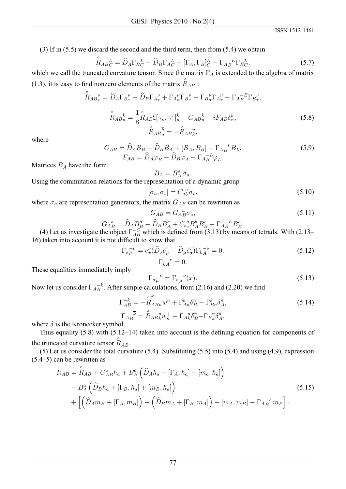$(3)$  If in  $(5.5)$  we discard the second and the third term, then from  $(5.4)$  we obtain

$$
\hat{R}_{ABC}^{\alpha} = \hat{D}_A \Gamma_B^{\ \ L}_C - \hat{D}_B \Gamma_A^{\ \ L}_C + [\Gamma_A, \Gamma_B]_C^L - \Gamma_A^{\ \ -E}_B \Gamma_B^{\ \ L}_C,\tag{5.7}
$$

which we call the truncated curvature tensor. Since the matrix  $\Gamma_A$  is extended to the algebra of matrix (1.3), it is easy to find nonzero elements of the matrix  $R_{AB}$ :

$$
\hat{R}_{AB_{\tau}}^{\nu} = \hat{D}_A \Gamma_{B_{\tau}}^{\nu} - \hat{D}_B \Gamma_{A_{\tau}}^{\nu} + \Gamma_{A_{\sigma}}^{\nu} \Gamma_{B_{\tau}}^{\nu} - \Gamma_{B_{\sigma}}^{\nu} \Gamma_{A_{\tau}}^{\nu} - \Gamma_{A_{B}}^{-E} \Gamma_{E_{\tau}}^{\nu},
$$
\n
$$
\hat{R}_{AB_{n}}^{\kappa} = \frac{1}{8} \hat{R}_{AB_{\tau}}^{\kappa} [\gamma_{\nu}, \gamma^{\tau}]_{n}^{k} + G_{AB_{n}}^{k} + iF_{AB} \delta_{n}^{k},
$$
\n(5.8)\n
$$
\hat{R}_{AB_{n}}^{\bar{k}} = -\hat{R}_{AB_{k}}^{\bar{n}},
$$

where

$$
G_{AB} = \widehat{D}_A B_B - \widehat{D}_B B_A + [B_A, B_B] - \Gamma_{A_B}^{-L} B_L,
$$
  
\n
$$
F_{AB} = \widehat{D}_A \varphi_B - \widehat{D}_B \varphi_A - \Gamma_{A_B}^{-L} \varphi_L.
$$
\n(5.9)

Matrices  $B_A$  have the form

$$
BA = BA \sigma_a.
$$
 Using the commutation relations for the representation of a dynamic group

$$
[\sigma_a, \sigma_b] = C_{ab}^c \sigma_c, \tag{5.10}
$$

where  $\sigma_a$  are representation generators, the matrix  $G_{AB}$  can be rewritten as

 $\mathcal{D}$ 

$$
G_{AB} = G_A{}^a_B \sigma_a,\tag{5.11}
$$

$$
G_{AB}^{\ a} = \widehat{D}_A B_B^a - \widehat{D}_B B_A^a + C_{bc}^{\ a} B_A^b B_B^c - \Gamma_{AB}^{-E} B_B^a
$$
  
the object  $\Gamma^{-C}$  which is defined from (3.13) by means

 $\mathbf{D}^a$ 

(4) Let us investigate the object  $\Gamma_{AB}^{-C}$  which is defined from (3.13) by means of tetrads. With (2.13– 16) taken into account it is not difficult to show that

$$
\Gamma_{\sigma\mu}^{-\nu} = e_{\tau}^{\nu} (\widehat{D}_{\sigma} \widetilde{e}_{\mu}^{\tau} - \widehat{D}_{\mu} \widetilde{e}_{\sigma}^{\tau}) \Gamma_{k\Lambda}^{-\nu} = 0,
$$
\n
$$
\Gamma_{k\Lambda}^{-\nu} = 0.
$$
\n(5.12)

These equalities immediately imply

$$
\Gamma_{\sigma\mu}^{\ \ \nu} = \Gamma_{\sigma\mu}^{\ \ \nu}(x). \tag{5.13}
$$

Now let us consider  $\Gamma_{AB}^{-k}$ . After simple calculations, from (2.16) and (2.20) we find

$$
\Gamma_{AB}^{-\overline{k}} = -\overset{\circ}{R}_{ABn}^{k} w^{n} + \Gamma_{An}^{k} \delta_{B}^{n} - \Gamma_{Bn}^{k} \delta_{A}^{n},
$$
\n
$$
\Gamma_{AB}^{-\overline{k}} = \overset{\circ}{R}_{ABk}^{n} w_{n}^{+} - \Gamma_{ABk}^{n} \delta_{B}^{\overline{n}} + \Gamma_{Bk}^{n} \delta_{A}^{\overline{n}},
$$
\n(5.14)

where  $\delta$  is the Kronecker symbol.

Thus equality  $(5.8)$  with  $(5.12-14)$  taken into account is the defining equation for components of the truncated curvature tensor  $R_{AB}$ .

(5) Let us consider the total curvature  $(5.4)$ . Substituting  $(5.5)$  into  $(5.4)$  and using  $(4.9)$ , expression  $(5.4-5)$  can be rewritten as

$$
R_{AB} = \overset{\circ}{R}_{AB} + G^{a}_{AB}h_{a} + B^{a}_{B} \left( \overset{\circ}{D}_{A}h_{a} + [\Gamma_{A}, h_{a}] + [m_{a}, h_{a}] \right)
$$
  
- 
$$
B^{a}_{A} \left( \overset{\circ}{D}_{B}h_{a} + [\Gamma_{B}, h_{a}] + [m_{B}, h_{a}] \right)
$$
  
+ 
$$
\left[ \left( \overset{\circ}{D}_{A}m_{B} + [\Gamma_{A}, m_{B}] \right) - \left( \overset{\circ}{D}_{B}m_{A} + [\Gamma_{B}, m_{A}] \right) + [m_{A}, m_{B}] - \Gamma_{A}^{-E} m_{E} \right].
$$
 (5.15)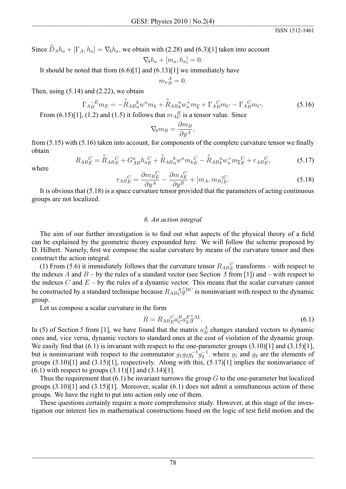Since  $\widehat{D}_A h_a + [\Gamma_A, h_a] = \nabla_A h_a$ , we obtain with (2.28) and (6.3)[1] taken into account

$$
\nabla\negthinspace A h_a + [m_a, h_a] = 0.
$$

It should be noted that from  $(6.6)[1]$  and  $(6.13)[1]$  we immediately have

$$
m_{\nu}{}_{B}^{A}=0.
$$

Then, using  $(5.14)$  and  $(2.22)$ , we obtain

$$
\Gamma_{AB}^{-E}m_E = -\overset{\circ}{R}_{AB}{}^k_n w^n m_k + \overset{\circ}{R}_{AB}{}^n_k w^+_n m_{\overline{k}} + \Gamma_{AB}{}^C m_C - \Gamma_{AB}{}^C m_C.
$$
\n(5.16)

From (6.15)[1], (1.2) and (1.5) it follows that  $m_{A}^{B}$  is a tensor value. Since

$$
\nabla_{\!\! A} m_B = \frac{\partial m_B}{\partial y^A}
$$

from  $(5.15)$  with  $(5.16)$  taken into account, for components of the complete curvature tensor we finally obtain

$$
R_{ABE}^{C} = \mathring{R}_{ABE}^{C} + G_{AB}^{a} h_{aE}^{C} + \mathring{R}_{AB}^{k}_{n} w^{n} m_{kE}^{C} - \mathring{R}_{AB}^{n} w_{n}^{+} m_{kE}^{C} + r_{ABE}^{C},
$$
(5.17)

where

$$
r_{ABE}^C = \frac{\partial m_B^C}{\partial u^A} - \frac{\partial m_A^C}{\partial u^B} + [m_A, m_B]^C_E.
$$
\n(5.18)

It is obvious that  $(5.18)$  is a space curvature tensor provided that the parameters of acting continuous groups are not localized.

#### 6. An action integral

The aim of our further investigation is to find out what aspects of the physical theory of a field can be explained by the geometric theory expounded here. We will follow the scheme proposed by D. Hilbert. Namely, first we compose the scalar curvature by means of the curvature tensor and then construct the action integral.

(1) From (5.6) it immediately follows that the curvature tensor  $R_{AB}{}^C_E$  transforms – with respect to the indexes A and  $B - by$  the rules of a standard vector (see Section 5 from [1]) and – with respect to the indexes C and  $E - by$  the rules of a dynamic vector. This means that the scalar curvature cannot be constructed by a standard technique because  $R_{AB}A_{B}^{\alpha}A_{B}^{\beta}C$  is noninvariant with respect to the dynamic group.

Let us compose a scalar curvature in the form

$$
R = R_{AB}{}^C_E a^B_C a^E g^{A}.
$$
\n(6.1)

In (5) of Section 5 from [1], we have found that the matrix  $a<sub>B</sub><sup>A</sup>$  changes standard vectors to dynamic ones and, vice versa, dynamic vectors to standard ones at the cost of violation of the dynamic group. We easily find that  $(6.1)$  is invariant with respect to the one-parameter groups  $(3.10)[1]$  and  $(3.15)[1]$ , but is noninvariant with respect to the commutator  $g_1g_2g_1^{-1}g_2^{-1}$ , where  $g_1$  and  $g_2$  are the elements of groups  $(3.10)[1]$  and  $(3.15)[1]$ , respectively. Along with this,  $(5.17)[1]$  implies the noninvariance of  $(6.1)$  with respect to groups  $(3.11)[1]$  and  $(3.14)[1]$ .

Thus the requirement that  $(6.1)$  be invariant narrows the group  $G$  to the one-parameter but localized groups  $(3.10)[1]$  and  $(3.15)[1]$ . Moreover, scalar  $(6.1)$  does not admit a simultaneous action of these groups. We have the right to put into action only one of them.

These questions certainly require a more comprehensive study. However, at this stage of the investigation our interest lies in mathematical constructions based on the logic of test field motion and the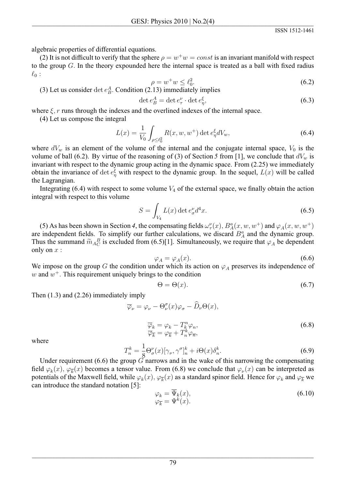algebraic properties of differential equations.

(2) It is not difficult to verify that the sphere  $\rho = w^+w = const$  is an invariant manifold with respect to the group  $G$ . In the theory expounded here the internal space is treated as a ball with fixed radius  $\ell_0$ :

$$
\rho = w^+ w \le \ell_0^2. \tag{6.2}
$$

(3) Let us consider det  $e_B^A$ . Condition (2.13) immediately implies

$$
\det e_B^A = \det e_\tau^\nu \cdot \det e_\eta^\xi,\tag{6.3}
$$

where  $\xi$ , r runs through the indexes and the overlined indexes of the internal space.

(4) Let us compose the integral

$$
L(x) = \frac{1}{V_0} \int_{\rho \le \ell_0^2} R(x, w, w^+) \det e_{\eta}^{\xi} dV_w,
$$
 (6.4)

where  $dV_w$  is an element of the volume of the internal and the conjugate internal space,  $V_0$  is the volume of ball (6.2). By virtue of the reasoning of (3) of Section 5 from [1], we conclude that  $dV_w$  is invariant with respect to the dynamic group acting in the dynamic space. From (2.25) we immediately obtain the invariance of det  $e_{\eta}^{\xi}$  with respect to the dynamic group. In the sequel,  $L(x)$  will be called the Lagrangian.

Integrating  $(6.4)$  with respect to some volume  $V_4$  of the external space, we finally obtain the action integral with respect to this volume.

$$
S = \int_{V_4} L(x) \det e_{\sigma}^{\nu} d^4 x. \tag{6.5}
$$

(5) As has been shown in Section 4, the compensating fields  $\omega_{\tau}^{\nu}(x)$ ,  $B_{A}^{a}(x, w, w^{+})$  and  $\varphi_{A}(x, w, w^{+})$ are independent fields. To simplify our further calculations, we discard  $B_A^a$  and the dynamic group. Thus the summand  $\widetilde{m}_{A}{}_{C}^{B}$  is excluded from (6.5)[1]. Simultaneously, we require that  $\varphi_A$  be dependent only on  $x$  :

$$
\varphi_A = \varphi_A(x). \tag{6.6}
$$

We impose on the group G the condition under which its action on  $\varphi_A$  preserves its independence of w and  $w^+$ . This requirement uniquely brings to the condition

$$
\Theta = \Theta(x). \tag{6.7}
$$

Then  $(1.3)$  and  $(2.26)$  immediately imply

$$
\overline{\varphi}_{\nu} = \varphi_{\nu} - \Theta_{\nu}^{\sigma}(x)\varphi_{\sigma} - \widehat{D}_{\nu}\Theta(x),
$$
  

$$
\overline{\varphi}_{k} = \varphi_{k} - T_{k}^{n}\varphi_{n},
$$
  

$$
\overline{\varphi}_{\overline{k}} = \varphi_{\overline{k}} + T_{n}^{k}\varphi_{\overline{n}},
$$
\n(6.8)

where

$$
T_n^k = \frac{1}{8} \Theta_{\sigma}^{\nu}(x) [\gamma_{\nu}, \gamma^{\sigma}]_n^k + i \Theta(x) \delta_n^k.
$$
\n(6.9)

Under requirement  $(6.6)$  the group G narrows and in the wake of this narrowing the compensating field  $\varphi_k(x)$ ,  $\varphi_{\overline{k}}(x)$  becomes a tensor value. From (6.8) we conclude that  $\varphi_{\nu}(x)$  can be interpreted as potentials of the Maxwell field, while  $\varphi_k(x)$ ,  $\varphi_{\overline{k}}(x)$  as a standard spinor field. Hence for  $\varphi_k$  and  $\varphi_{\overline{k}}$  we can introduce the standard notation [5]:

$$
\varphi_k = \overline{\Psi}_k(x), \n\varphi_{\overline{k}} = \Psi^k(x).
$$
\n(6.10)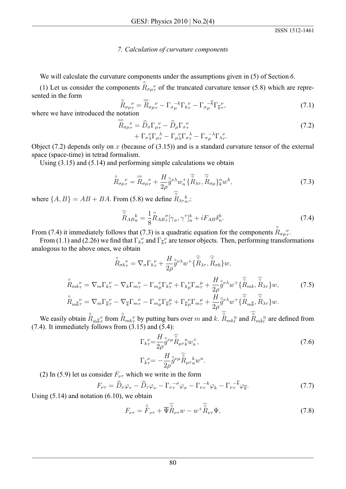## 7. Calculation of curvature components

We will calculate the curvature components under the assumptions given in  $(5)$  of Section 6.

(1) Let us consider the components  $\mathring{R}_{\sigma\mu\tau}^{\rho}$  of the truncated curvature tensor (5.8) which are represented in the form

$$
\hat{R}_{\sigma\mu\tau}^{\ \nu} = \hat{R}_{\sigma\mu\tau}^{\ \nu} - \Gamma_{\sigma\mu}^{-k} \Gamma_{k\tau}^{\ \nu} - \Gamma_{\sigma\mu}^{-\overline{k}} \Gamma_{\overline{k}\tau}^{\ \nu},\tag{7.1}
$$

where we have introduced the notation

$$
\tilde{R}_{\sigma\mu\tau}^{\nu} = \hat{D}_{\sigma}\Gamma_{\mu\tau}^{\nu} - \hat{D}_{\mu}\Gamma_{\sigma\tau}^{\nu} + \Gamma_{\sigma\lambda}^{\nu}\Gamma_{\mu\tau}^{\lambda} - \Gamma_{\mu\lambda}^{\nu}\Gamma_{\sigma\tau}^{\lambda} - \Gamma_{\sigma\mu}^{\nu}\Gamma_{\lambda\tau}^{\nu}.
$$
\n(7.2)

Object (7.2) depends only on x (because of (3.15)) and is a standard curvature tensor of the external space (space-time) in tetrad formalism.

Using  $(3.15)$  and  $(5.14)$  and performing simple calculations we obtain

$$
\mathcal{R}_{\sigma\mu\tau}^{\qquad \nu} = \mathcal{R}_{\sigma\mu\tau}^{\qquad \nu} + \frac{H}{2\rho} \mathcal{G}^{\nu\lambda} w_n^+ \{\widehat{R}_{\lambda\tau}, \widehat{R}_{\sigma\mu}\}_k^n w^k, \tag{7.3}
$$

where  $\{A, B\} = AB + BA$ . From (5.8) we define  $\mathring{R}_{\lambda\tau_n}^k$ .

$$
\widehat{\widetilde{R}}_{AB}^k = \frac{1}{8} \widehat{R}_{AB} \widetilde{\sigma} [\gamma_\sigma, \gamma^\tau]_n^k + i F_{AB} \delta_n^k. \tag{7.4}
$$

From (7.4) it immediately follows that (7.3) is a quadratic equation for the components  $R_{\sigma\mu\tau}^{\nu}$ .

From (1.1) and (2.26) we find that  $\Gamma_{k\tau}^{\nu}$  and  $\Gamma_{k\tau}^{\nu}$  are tensor objects. Then, performing transformations analogous to the above ones, we obtain

$$
\stackrel{\circ}{R}_{\sigma k_{\tau}}^{\nu} = \nabla_{\sigma} \Gamma_{k_{\tau}}^{\nu} + \frac{H}{2\rho} \stackrel{\circ}{g} \nu^{\lambda} w^{+} \{\stackrel{\circ}{R}_{\lambda \tau}, \stackrel{\circ}{R}_{\sigma k}\} w,
$$
\n
$$
\stackrel{\circ}{R}_{m k_{\tau}}^{\nu} = \nabla_{m} \Gamma_{k_{\tau}}^{\nu} - \nabla_{k} \Gamma_{m_{\tau}}^{\nu} - \Gamma_{m_{\mu}}^{\nu} \Gamma_{k_{\tau}}^{\mu} + \Gamma_{k_{\mu}}^{\nu} \Gamma_{m_{\tau}}^{\mu} + \frac{H}{2\rho} \stackrel{\circ}{g} \nu^{\lambda} w^{+} \{\stackrel{\circ}{R}_{m k}, \stackrel{\circ}{R}_{\lambda \tau}\} w,
$$
\n
$$
\stackrel{\circ}{R}_{m \overline{k}_{\tau}}^{\nu} = \nabla_{m} \Gamma_{k_{\tau}}^{\nu} - \nabla_{\overline{k}} \Gamma_{m_{\tau}}^{\nu} - \Gamma_{m_{\mu}}^{\nu} \Gamma_{k_{\tau}}^{\mu} + \Gamma_{k_{\mu}}^{\nu} \Gamma_{m_{\tau}}^{\mu} + \frac{H}{2\rho} \stackrel{\circ}{g} \nu^{\lambda} w^{+} \{\stackrel{\circ}{R}_{m \overline{k}}, \stackrel{\circ}{R}_{\lambda \tau}\} w.
$$
\n(7.5)

We easily obtain  $R_{\bar{m}\bar{k}\tau}^{\nu}$  from  $R_{mk\tau}^{\nu}$  by putting bars over m and k.  $R_{mk_l^n}$  and  $R_{mk_l^n}$  are defined from  $(7.4)$ . It immediately follows from  $(3.15)$  and  $(5.4)$ :

$$
\Gamma_{k_{\tau}}^{\nu} = \frac{H}{2\rho} \overset{\circ}{g}^{\nu\mu} \overset{\circ}{R}_{\mu\tau}^n w_n^+, \n\Gamma_{\bar{k}_{\tau}}^{\nu} = -\frac{H}{2\rho} \overset{\circ}{g}^{\nu\mu} \overset{\circ}{R}_{\mu\tau}^n w^n.
$$
\n(7.6)

(2) In (5.9) let us consider  $F_{\nu\tau}$  which we write in the form

$$
F_{\nu\tau} = \widehat{D}_{\nu}\varphi_{\tau} - \widehat{D}_{\tau}\varphi_{\nu} - \Gamma_{\nu\tau}^{-\sigma}\varphi_{\sigma} - \Gamma_{\nu\tau}^{-k}\varphi_{k} - \Gamma_{\nu\tau}^{-\overline{k}}\varphi_{\overline{k}}.
$$
\n(7.7)

Using  $(5.14)$  and notation  $(6.10)$ , we obtain

$$
F_{\nu\tau} = \hat{\overline{F}}_{\nu\tau} + \overline{\overline{\Psi}} \hat{\overline{R}}_{\nu\tau} w - w^+ \hat{\overline{R}}_{\nu\tau} \Psi,
$$
\n(7.8)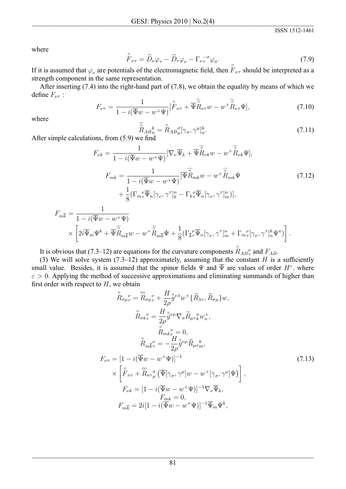where

$$
\tilde{F}_{\nu\tau} = \hat{D}_{\nu}\varphi_{\tau} - \hat{D}_{\tau}\varphi_{\nu} - \Gamma_{\nu\tau}^{-\sigma}\varphi_{\sigma}.
$$
\n(7.9)

If it is assumed that  $\varphi_{\nu}$  are potentials of the electromagnetic field, then  $F_{\nu\tau}$  should be interpreted as a strength component in the same representation.

After inserting  $(7.4)$  into the right-hand part of  $(7.8)$ , we obtain the equality by means of which we define  $F_{\nu\tau}$ :

$$
F_{\nu\tau} = \frac{1}{1 - i(\overline{\Psi}w - w^+\Psi)} [\overset{\circ}{F}_{\nu\tau} + \overline{\Psi} \overset{\circ}{R}_{\nu\tau} w - w^+\overset{\circ}{R}_{\nu\tau}\Psi],\tag{7.10}
$$

where

$$
\widetilde{R}_{AB_n}^k = \widetilde{R}_{AB_\mu}^{\sigma} [\gamma_\sigma, \gamma^\mu]_n^k.
$$
\n(7.11)

After simple calculations, from  $(5.9)$  we find

$$
F_{\nu k} = \frac{1}{1 - i(\overline{\Psi}w - w^{+}\Psi)} [\nabla_{\nu}\overline{\Psi}_{k} + \overline{\Psi} \widetilde{\mathring{R}}_{\nu k}w - w^{+}\widetilde{\mathring{R}}_{\nu k}\Psi],
$$
  
\n
$$
F_{mk} = \frac{1}{1 - i(\overline{\Psi}w - w^{+}\Psi)} [\overline{\Psi} \widetilde{\mathring{R}}_{mk}w - w^{+}\widetilde{\mathring{R}}_{mk}\Psi + \frac{1}{8}(\Gamma_{m_{\tau}}\Psi_{n}[\gamma_{\nu},\gamma^{r}]_{k}^{n} - \Gamma_{k_{\tau}}\Psi_{n}[\gamma_{\nu},\gamma^{r}]_{m}^{n})],
$$
\n(7.12)

$$
F_{m\overline{k}} = \frac{1}{1 - i(\overline{\Psi}w - w^{+}\Psi)} \times \left[2i\overline{\Psi}_{m}\Psi^{k} + \overline{\Psi}\widetilde{R}_{m\overline{k}}w - w^{+}\widetilde{R}_{m\overline{k}}\Psi + \frac{1}{8}(\Gamma_{\overline{k}\tau}^{\nu}\overline{\Psi}_{n}[\gamma_{\nu},\gamma^{\tau}]_{m}^{n} + \Gamma_{m\tau}^{\nu}[\gamma_{\nu},\gamma^{\tau}]_{n}^{k}\Psi^{n})\right].
$$

It is obvious that (7.3–12) are equations for the curvature components  $R_{AB}^{\nu}$  and  $F_{AB}$ .

(3) We will solve system  $(7.3-12)$  approximately, assuming that the constant H is a sufficiently small value. Besides, it is assumed that the spinor fields  $\Psi$  and  $\overline{\Psi}$  are values of order  $H^{\varepsilon}$ , where  $\varepsilon > 0$ . Applying the method of successive approximations and eliminating summands of higher than first order with respect to  $H$ , we obtain

$$
\tilde{R}_{\sigma\mu\tau}^{\nu} = \tilde{R}_{\sigma\mu\tau}^{\nu} + \frac{H}{2\rho} \tilde{g}^{\nu\lambda} w^+ \{\tilde{R}_{\lambda\tau}, \tilde{R}_{\sigma\mu}\} w,
$$
\n
$$
\tilde{R}_{\sigma k\tau}^{\nu} = \frac{H}{2\rho} \tilde{g}^{\nu\mu} \nabla_{\sigma} \tilde{R}_{\mu\tau}^{\ n} w_{\tau}^+,
$$
\n
$$
\tilde{R}_{mk\tau}^{\nu} = 0,
$$
\n
$$
\tilde{R}_{mk\tau}^{\nu} = -\frac{H}{2\rho} \tilde{g}^{\nu\mu} \tilde{R}_{\mu\tau}^{\ k},
$$
\n
$$
F_{\nu\tau} = [1 - i(\overline{\Psi}w - w^+\Psi)]^{-1}
$$
\n
$$
\times \left[ \tilde{F}_{\nu\tau} + \tilde{R}_{\nu\tau}^{\sigma} \tilde{w} (\overline{\Psi}[\gamma_{\sigma}, \gamma^{\mu}]w - w^+[\gamma_{\sigma}, \gamma^{\mu}]\Psi) \right],
$$
\n
$$
F_{\nu k} = [1 - i(\overline{\Psi}w - w^+\Psi)]^{-1} \nabla_{\nu} \overline{\Psi}_k,
$$
\n
$$
F_{mk} = 0,
$$
\n
$$
F_{mk} = 2i[1 - i(\overline{\Psi}w - w^+\Psi)]^{-1} \overline{\Psi}_m \Psi^k,
$$
\n(7.13)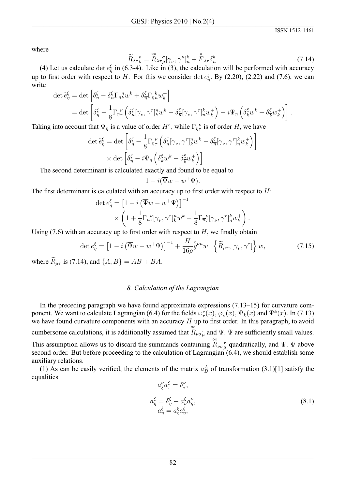where

$$
\widetilde{R}_{\lambda\tau_k}^n = \widetilde{R}_{\lambda\tau_k}^{\sigma} [\gamma_\sigma, \gamma^\mu]_n^k + \widetilde{F}_{\lambda\tau} \delta_n^k. \tag{7.14}
$$

(4) Let us calculate det  $e_n^{\xi}$  in (6.3-4). Like in (3), the calculation will be performed with accuracy up to first order with respect to H. For this we consider det  $e_n^{\xi}$ . By (2.20), (2.22) and (7.6), we can write

$$
\det \tilde{e}_{\eta}^{\xi} = \det \left[ \delta_{\eta}^{\xi} - \delta_{n}^{\xi} \Gamma_{\eta_{k}}^{n} w^{k} + \delta_{n}^{\xi} \Gamma_{\eta_{n}}^{k} w_{k}^{+} \right]
$$
  
= det  $\left[ \delta_{\eta}^{\xi} - \frac{1}{8} \Gamma_{\eta_{\tau}}^{n} \left( \delta_{n}^{\xi} [\gamma_{\nu}, \gamma^{\tau}]_{k}^{n} w^{k} - \delta_{\overline{n}}^{\xi} [\gamma_{\nu}, \gamma^{\tau}]_{n}^{k} w_{k}^{+} \right) - i \Psi_{\eta} \left( \delta_{k}^{\xi} w^{k} - \delta_{\overline{k}}^{\xi} w_{k}^{+} \right) \right].$ 

Taking into account that  $\Psi_{\eta}$  is a value of order  $H^{\varepsilon}$ , while  $\Gamma_{\eta\tau}^{\nu}$  is of order H, we have

$$
\det \tilde{e}_{\eta}^{\xi} = \det \left[ \delta_{\eta}^{\xi} - \frac{1}{8} \Gamma_{\eta}^{\ \nu} \left( \delta_{n}^{\xi} [\gamma_{\nu}, \gamma^{\tau}]_{k}^{n} w^{k} - \delta_{\overline{n}}^{\xi} [\gamma_{\nu}, \gamma^{\tau}]_{n}^{k} w_{k}^{+} \right) \right]
$$

$$
\times \det \left[ \delta_{\eta}^{\xi} - i \Psi_{\eta} \left( \delta_{k}^{\xi} w^{k} - \delta_{\overline{k}}^{\xi} w_{k}^{+} \right) \right]
$$

The second determinant is calculated exactly and found to be equal to

$$
1 - i(\overline{\Psi}w - w^+\Psi).
$$

The first determinant is calculated with an accuracy up to first order with respect to  $H$ :

$$
\det e_{\eta}^{\xi} = \left[1 - i\left(\overline{\Psi}w - w^{+}\Psi\right)\right]^{-1} \times \left(1 + \frac{1}{8}\Gamma_{n_{\tau}}^{V}[\gamma_{\nu}, \gamma^{\tau}]_{k}^{n}w^{k} - \frac{1}{8}\Gamma_{n_{\tau}}^{V}[\gamma_{\nu}, \gamma^{\tau}]_{n}^{k}w_{k}^{+}\right).
$$

Using  $(7.6)$  with an accuracy up to first order with respect to H, we finally obtain

$$
\det e_{\eta}^{\xi} = \left[1 - i\left(\overline{\Psi}w - w^{+}\Psi\right)\right]^{-1} + \frac{H}{16\rho} \mathring{g}^{\nu\mu} w^{+} \left\{\widetilde{R}_{\mu\tau}, \left[\gamma_{\nu}, \gamma^{\tau}\right]\right\} w,\tag{7.15}
$$

where  $\widetilde{R}_{\mu\tau}$  is (7.14), and  $\{A, B\} = AB + BA$ .

### 8. Calculation of the Lagrangian

In the preceding paragraph we have found approximate expressions  $(7.13-15)$  for curvature component. We want to calculate Lagrangian (6.4) for the fields  $\omega_{\tau}^{\nu}(x)$ ,  $\varphi_{\nu}(x)$ ,  $\overline{\Psi}_k(x)$  and  $\Psi^k(x)$ . In (7.13) we have found curvature components with an accuracy  $H$  up to first order. In this paragraph, to avoid cumbersome calculations, it is additionally assumed that  $\mathbb{R}_{\nu\sigma\mu}$  and  $\overline{\Psi}$ ,  $\Psi$  are sufficiently small values. This assumption allows us to discard the summands containing  $\overset{\circ\circ}{R}_{\nu\sigma\mu}^{\sigma}$  quadratically, and  $\overline{\Psi}$ ,  $\Psi$  above second order. But before proceeding to the calculation of Lagrangian (6.4), we should establish some auxiliary relations.

(1) As can be easily verified, the elements of the matrix  $a_B^A$  of transformation (3.1)[1] satisfy the equalities

$$
a_{\xi}^{\nu} a_{\tau}^{\xi} = \delta_{\tau}^{\nu},
$$
  
\n
$$
a_{\eta}^{\xi} = \delta_{\eta}^{\xi} - a_{\nu}^{\xi} a_{\eta}^{\nu},
$$
  
\n
$$
a_{\eta}^{\xi} = a_{\xi}^{\xi} a_{\eta}^{\zeta},
$$
\n(8.1)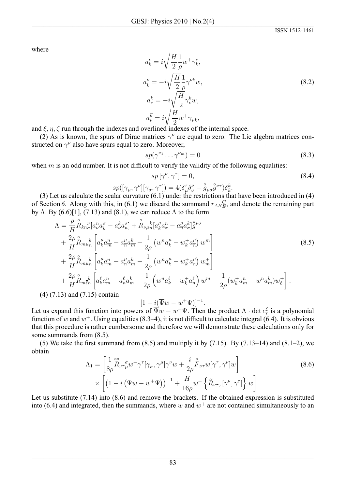where

$$
a_k^{\nu} = i \sqrt{\frac{H}{2}} \frac{1}{\rho} w^+ \gamma_k^{\nu},
$$
  
\n
$$
a_{\overline{k}}^{\nu} = -i \sqrt{\frac{H}{2}} \frac{1}{\rho} \gamma^{\nu k} w,
$$
  
\n
$$
a_{\nu}^k = -i \sqrt{\frac{H}{2}} \gamma_{\nu}^k w,
$$
  
\n
$$
a_{\nu}^{\overline{k}} = i \sqrt{\frac{H}{2}} w^+ \gamma_{\nu k},
$$
  
\n
$$
\vdots \qquad \qquad \vdots \qquad \qquad \vdots \qquad \qquad \vdots
$$
\n(8.2)

and  $\xi, \eta, \zeta$  run through the indexes and overlined indexes of the internal space.

(2) As is known, the spurs of Dirac matrices  $\gamma^{\nu}$  are equal to zero. The Lie algebra matrices constructed on  $\gamma^{\nu}$  also have spurs equal to zero. Moreover,

$$
sp(\gamma^{\nu_1} \dots \gamma^{\nu_m}) = 0 \tag{8.3}
$$

when  $m$  is an odd number. It is not difficult to verify the validity of the following equalities:

$$
sp\left[\gamma^{\nu},\gamma^{\tau}\right]=0,\tag{8.4}
$$

$$
sp([\gamma_\mu,\gamma^\nu][\gamma_\sigma,\gamma^\tau])=4(\delta_\mu^\tau\delta_\sigma^\nu-\overset{\circ}{g}_{\mu\sigma}\overset{\circ}{g}^{\nu\tau})\delta_k^k.
$$

(3) Let us calculate the scalar curvature  $(6.1)$  under the restrictions that have been introduced in  $(4)$ of Section 6. Along with this, in (6.1) we discard the summand  $r_{ABE}^{C}$ , and denote the remaining part by  $\Lambda$ . By (6.6)[1], (7.13) and (8.1), we can reduce  $\Lambda$  to the form

$$
\Lambda = \frac{\rho}{H} \mathring{R}_{k\overline{n}\sigma}{}_{\sigma}^{V} [a_{\nu}^{\overline{n}} a_{\overline{k}}^{\sigma} - a_{\nu}^{k} a_{n}^{\sigma}] + \mathring{R}_{\nu\mu}{}_{n}{}^{k} [a_{k}^{\mu} a_{\sigma}^{n} - a_{\overline{n}}^{\mu} a_{\sigma}^{\overline{k}}]_{g}^{\sigma}{}_{\nu\sigma} \n+ \frac{2\rho}{H} \mathring{R}_{m\mu}{}_{n}{}^{k} \left[ a_{k}^{\mu} a_{\overline{m}}^{n} - a_{\overline{n}}^{\mu} a_{\overline{m}}^{\overline{k}} - \frac{1}{2\rho} \left( w^{n} a_{k}^{\mu} - w_{k}^{+} a_{\overline{n}}^{\mu} \right) w^{m} \right] \n+ \frac{2\rho}{H} \mathring{R}_{\overline{m}\mu}{}_{n}{}^{k} \left[ a_{k}^{\mu} a_{m}^{n} - a_{\overline{n}}^{\mu} a_{\overline{m}}^{\overline{k}} - \frac{1}{2\rho} \left( w^{n} a_{k}^{\mu} - w_{k}^{+} a_{\overline{n}}^{\mu} \right) w_{m}^{+} \right] \n+ \frac{2\rho}{H} \mathring{R}_{m\overline{\ell}n}{}^{k} \left[ a_{k}^{\overline{\ell}} a_{\overline{m}}^{n} - a_{\overline{n}}^{\overline{\ell}} a_{\overline{m}}^{\overline{k}} - \frac{1}{2\rho} \left( w^{n} a_{k}^{\overline{\ell}} - w_{k}^{+} a_{\overline{n}}^{\overline{\ell}} \right) w^{m} - \frac{1}{2\rho} \left( w_{k}^{+} a_{\overline{m}}^{n} - w^{n} a_{\overline{m}}^{\overline{k}} \right) w_{\ell}^{+} \right].
$$
\n7.13) and (7.15) contain

 $(4)$   $($ 

Let us expand this function into powers of  $\overline{\Psi}w - w^+\Psi$ . Then the product  $\Lambda \cdot \det e_r^{\xi}$  is a polynomial function of w and  $w^+$ . Using equalities (8.3–4), it is not difficult to calculate integral (6.4). It is obvious that this procedure is rather cumbersome and therefore we will demonstrate these calculations only for some summands from  $(8.5)$ .

(5) We take the first summand from  $(8.5)$  and multiply it by  $(7.15)$ . By  $(7.13-14)$  and  $(8.1-2)$ , we obtain

$$
\Lambda_1 = \left[ \frac{1}{8\rho} \overset{\circ\circ}{R}_{\nu\tau\mu} \overset{\circ}{w}^+ \gamma^{\tau} [\gamma_\sigma, \gamma^\mu] \gamma^\nu w + \frac{i}{2\rho} \overset{\circ}{F}_{\nu\tau} w [\gamma^\tau, \gamma^\nu] w \right] \times \left[ \left( 1 - i \left( \overline{\Psi} w - w^+ \Psi \right) \right)^{-1} + \frac{H}{16\rho} w^+ \left\{ \widetilde{R}_{\nu\tau}, [\gamma^\nu, \gamma^\tau] \right\} w \right]. \tag{8.6}
$$

Let us substitute  $(7.14)$  into  $(8.6)$  and remove the brackets. If the obtained expression is substituted into (6.4) and integrated, then the summands, where w and  $w^+$  are not contained simultaneously to an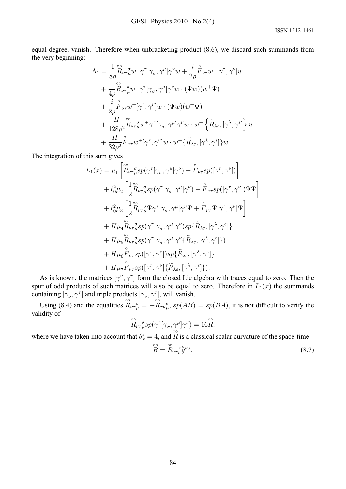equal degree, vanish. Therefore when unbracketing product (8.6), we discard such summands from the very beginning:

$$
\Lambda_{1} = \frac{1}{8\rho} \overset{\circ}{R}_{\nu\tau\mu} \overset{\sigma}{w} + \gamma^{\tau} [\gamma_{\sigma}, \gamma^{\mu}] \gamma^{\nu} w + \frac{i}{2\rho} \overset{\circ}{F}_{\nu\tau} w^{+} [\gamma^{\tau}, \gamma^{\nu}] w \n+ \frac{1}{4\rho} \overset{\circ}{R}_{\nu\tau\mu} \overset{\sigma}{w} + \gamma^{\tau} [\gamma_{\sigma}, \gamma^{\mu}] \gamma^{\nu} w \cdot (\overline{\Psi} w) (w^{+} \Psi) \n+ \frac{i}{2\rho} \overset{\circ}{F}_{\nu\tau} w^{+} [\gamma^{\tau}, \gamma^{\nu}] w \cdot (\overline{\Psi} w) (w^{+} \Psi) \n+ \frac{H}{128\rho^{2}} \overset{\circ}{R}_{\nu\tau\mu} \overset{\sigma}{w} w^{+} \gamma^{\tau} [\gamma_{\sigma}, \gamma^{\mu}] \gamma^{\nu} w \cdot w^{+} \left\{ \widetilde{R}_{\lambda\varepsilon}, [\gamma^{\lambda}, \gamma^{\varepsilon}] \right\} w \n+ \frac{H}{32\rho^{2}} \overset{\circ}{F}_{\nu\tau} w^{+} [\gamma^{\tau}, \gamma^{\nu}] w \cdot w^{+} \left\{ \widetilde{R}_{\lambda\varepsilon}, [\gamma^{\lambda}, \gamma^{\varepsilon}] \right\} w.
$$

The integration of this sum gives

$$
L_{1}(x) = \mu_{1} \left[ \overset{\circ\circ}{R}_{\nu\tau\mu}^{\sigma} sp(\gamma^{\tau}[\gamma_{\sigma}, \gamma^{\mu}]\gamma^{\nu}) + \overset{\circ}{F}_{\nu\tau}sp([\gamma^{\tau}, \gamma^{\nu}]) \right] + \ell_{0}^{2} \mu_{2} \left[ \frac{1}{2} \overset{\circ\circ}{R}_{\nu\tau\mu}^{\sigma} sp(\gamma^{\tau}[\gamma_{\sigma}, \gamma^{\mu}]\gamma^{\nu}) + \overset{\circ}{F}_{\nu\tau}sp([\gamma^{\tau}, \gamma^{\nu}]) \overline{\Psi} \Psi \right] + \ell_{0}^{2} \mu_{3} \left[ \frac{1}{2} \overset{\circ\circ}{R}_{\nu\tau\mu}^{\sigma} \overline{\Psi} \gamma^{\tau}[\gamma_{\sigma}, \gamma^{\mu}]\gamma^{\nu} \Psi + \overset{\circ}{F}_{\nu\tau} \overline{\Psi}[\gamma^{\tau}, \gamma^{\nu}]\Psi \right] + H \mu_{4} \overset{\circ\circ}{R}_{\nu\tau\mu}^{\sigma} sp(\gamma^{\tau}[\gamma_{\sigma}, \gamma^{\mu}]\gamma^{\nu}) sp\{\widetilde{R}_{\lambda\varepsilon}, [\gamma^{\lambda}, \gamma^{\varepsilon}]\} + H \mu_{5} \overset{\circ\circ}{R}_{\nu\tau\mu}^{\sigma} sp(\gamma^{\tau}[\gamma_{\sigma}, \gamma^{\mu}]\gamma^{\nu}\{\widetilde{R}_{\lambda\varepsilon}, [\gamma^{\lambda}, \gamma^{\varepsilon}]\}) + H \mu_{6} \overset{\circ}{F}_{\nu\tau}sp([\gamma^{\tau}, \gamma^{\nu}]) sp\{\widetilde{R}_{\lambda\varepsilon}, [\gamma^{\lambda}, \gamma^{\varepsilon}]\} + H \mu_{7} \overset{\circ}{F}_{\nu\tau}sp([\gamma^{\tau}, \gamma^{\nu}]\{\widetilde{R}_{\lambda\varepsilon}, [\gamma^{\lambda}, \gamma^{\varepsilon}]\}).
$$

As is known, the matrices  $[\gamma^{\nu}, \gamma^{\tau}]$  form the closed Lie algebra with traces equal to zero. Then the spur of odd products of such matrices will also be equal to zero. Therefore in  $L_1(x)$  the summands containing  $[\gamma_{\nu}, \gamma^{\tau}]$  and triple products  $[\gamma_{\nu}, \gamma^{\tau}]$ , will vanish.<br>Using (8.4) and the equalities  $\mathbb{R}_{\nu\tau\mu}^{\sigma} = -\mathbb{R}_{\tau\nu\mu}^{\sigma}$ ,  $sp(AB) = sp(BA)$ , it is not difficult to verify the

validity of

$$
\overset{\circ\circ}{R}_{\nu\tau}\underset{\mu}{\sigma}sp(\gamma^{\tau}[\gamma_{\sigma},\gamma^{\mu}]\gamma^{\nu})=16\overset{\circ\circ}{R},
$$

where we have taken into account that  $\delta_k^k = 4$ , and  $\hat{R}$  is a classical scalar curvature of the space-time

$$
\stackrel{\circ\circ}{R} = \stackrel{\circ}{R}_{\nu\tau\sigma} \stackrel{\tau}{g}^{\circ}\nu\sigma}.
$$
 (8.7)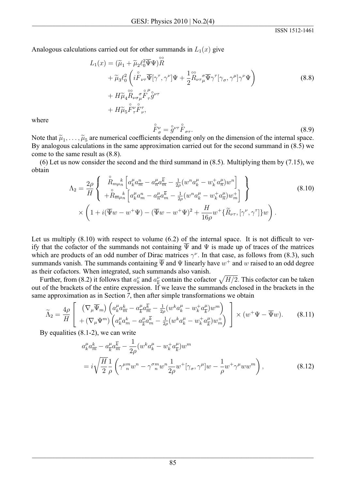Analogous calculations carried out for other summands in  $L_1(x)$  give

$$
L_1(x) = (\widetilde{\mu}_1 + \widetilde{\mu}_2 \ell_0^2 \overline{\Psi} \Psi) \widetilde{R}
$$
  
+ 
$$
\widetilde{\mu}_3 \ell_0^2 \left( i \overset{\circ}{F}_{\nu\tau} \overline{\Psi} [\gamma^\tau, \gamma^\nu] \Psi + \frac{1}{2} \overset{\circ}{R}_{\nu\tau} \mu \overline{\Psi} \gamma^\tau [\gamma_\sigma, \gamma^\mu] \gamma^\nu \Psi \right)
$$
  
+ 
$$
H \widetilde{\mu}_4 \overset{\circ}{R}_{\nu\sigma} \mu \overset{\circ}{F}_{\tau} \overset{\rho}{g}^{\nu\tau}
$$
  
+ 
$$
H \widetilde{\mu}_5 \overset{\circ}{F}_{\tau}^{\nu} \overset{\circ}{F}_{\nu}^{\tau}, \tag{8.8}
$$

where

$$
\mathbf{F}_{\sigma}^{\nu} = \mathbf{g}^{\nu\tau} \mathbf{F}_{\sigma\tau}.
$$
\n(8.9)

Note that  $\tilde{\mu}_1, \ldots, \tilde{\mu}_5$  are numerical coefficients depending only on the dimension of the internal space. By analogous calculations in the same approximation carried out for the second summand in  $(8.5)$  we come to the same result as (8.8).

(6) Let us now consider the second and the third summand in  $(8.5)$ . Multiplying them by  $(7.15)$ , we obtain

$$
\Lambda_{2} = \frac{2\rho}{H} \left\{ \begin{array}{l} \stackrel{\circ}{R}_{m\mu_{n}} \left[ a_{k}^{\mu} a_{\overline{m}}^{n} - a_{\overline{n}}^{\mu} a_{\overline{m}}^{\overline{k}} - \frac{1}{2\rho} (w^{n} a_{k}^{\mu} - w_{k}^{+} a_{\overline{n}}^{\mu}) w^{n} \right] \\ + \stackrel{\circ}{R}_{\overline{m}\mu_{n}} \left[ a_{k}^{\mu} a_{m}^{n} - a_{\overline{n}}^{\mu} a_{\overline{m}}^{\overline{k}} - \frac{1}{2\rho} (w^{n} a_{k}^{\mu} - w_{k}^{+} a_{\overline{n}}^{\mu}) w_{m}^{+} \right] \\ \times \left( 1 + i (\overline{\Psi} w - w^{+} \Psi) - (\overline{\Psi} w - w^{+} \Psi)^{2} + \frac{H}{16\rho} w^{+} \{ \widetilde{R}_{\nu_{\tau}}, [\gamma^{\nu}, \gamma^{\tau}] \} w \right). \end{array} \right. \tag{8.10}
$$

Let us multiply  $(8.10)$  with respect to volume  $(6.2)$  of the internal space. It is not difficult to verify that the cofactor of the summands not containing  $\overline{\Psi}$  and  $\Psi$  is made up of traces of the matrices which are products of an odd number of Dirac matrices  $\gamma^{\nu}$ . In that case, as follows from (8.3), such summands vanish. The summands containing  $\overline{\Psi}$  and  $\Psi$  linearly have  $w^+$  and w raised to an odd degree as their cofactors. When integrated, such summands also vanish.

Further, from (8.2) it follows that  $a_k^{\nu}$  and  $a_{\overline{k}}^{\nu}$  contain the cofactor  $\sqrt{H/2}$ . This cofactor can be taken out of the brackets of the entire expression. If we leave the summands enclosed in the brackets in the same approximation as in Section 7, then after simple transformations we obtain

$$
\widetilde{\Lambda}_2 = \frac{4\rho}{H} \left[ \begin{array}{cc} \left(\nabla_\mu \overline{\Psi}_m\right) \left(a^\mu_k a^\kappa_m - a^\mu_{\overline{k}} a^\overline{k}_m - \frac{1}{2\rho} \left(w^k a^\mu_k - w^\mu_k a^\mu_{\overline{k}}\right) w^m\right) \\ + \left(\nabla_\mu \Psi^m\right) \left(a^\mu_k a^\kappa_m - a^\mu_{\overline{k}} a^\overline{k}_m - \frac{1}{2\rho} \left(w^k a^\mu_k - w^\mu_k a^\mu_{\overline{k}}\right) w^+_m\right) \end{array} \right] \times \left(w^+ \Psi - \overline{\Psi} w\right). \tag{8.11}
$$

By equalities  $(8.1-2)$ , we can write

$$
a_{k}^{\mu} a_{\overline{m}}^{k} - a_{\overline{k}}^{\mu} a_{\overline{m}}^{\overline{k}} - \frac{1}{2\rho} (w^{k} a_{k}^{\mu} - w_{k}^{+} a_{\overline{k}}^{\mu}) w^{m}
$$
  
=  $i \sqrt{\frac{H}{2}} \frac{1}{\rho} \left( \gamma^{\mu m}_{n} w^{n} - \gamma^{\sigma m}_{n} w^{n} \frac{1}{2\rho} w^{+} [\gamma_{\sigma}, \gamma^{\mu}] w - \frac{1}{\rho} w^{+} \gamma^{\mu} w w^{m} \right),$  (8.12)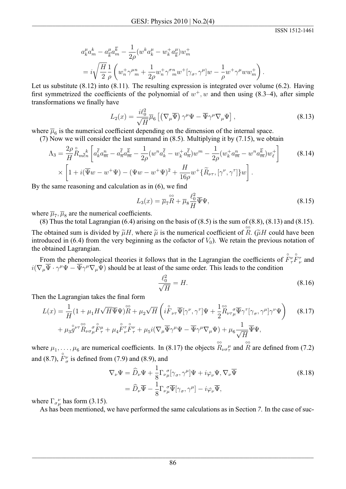$$
a_k^{\mu} a_m^k - a_{\overline{k}}^{\mu} a_m^{\overline{k}} - \frac{1}{2\rho} (w^k a_k^{\mu} - w_{\overline{k}}^+ a_{\overline{k}}^{\mu}) w_m^+
$$
  
=  $i \sqrt{\frac{H}{2}} \frac{1}{\rho} \left( w_n^+ \gamma^{\mu}{}_{m}^{\mu} + \frac{1}{2\rho} w_n^+ \gamma^{\sigma}{}_{m}^{\mu} w^+ [\gamma_{\sigma}, \gamma^{\mu}] w - \frac{1}{\rho} w^+ \gamma^{\mu} w w_m^+ \right).$ 

Let us substitute  $(8.12)$  into  $(8.11)$ . The resulting expression is integrated over volume  $(6.2)$ . Having first symmetrized the coefficients of the polynomial of  $w^+$ , w and then using (8.3–4), after simple transformations we finally have

$$
L_2(x) = \frac{i\ell_0^2}{\sqrt{H}} \overline{\mu}_6 \left[ \left( \nabla_\mu \overline{\Psi} \right) \gamma^\mu \Psi - \overline{\Psi} \gamma^\mu \nabla_\mu \Psi \right], \tag{8.13}
$$

where  $\overline{\mu}_6$  is the numerical coefficient depending on the dimension of the internal space.

(7) Now we will consider the last summand in  $(8.5)$ . Multiplying it by  $(7.15)$ , we obtain

$$
\Lambda_{3} = \frac{2\rho}{H} \mathring{R}_{m\bar{\ell}n} \left[ a_{k}^{\bar{\ell}} a_{\bar{m}}^{n} - a_{\bar{n}}^{\bar{\ell}} a_{\bar{m}}^{\bar{k}} - \frac{1}{2\rho} (w^{n} a_{k}^{\bar{\ell}} - w_{k}^{+} a_{\bar{n}}^{\bar{\ell}}) w^{m} - \frac{1}{2\rho} (w_{k}^{+} a_{\bar{m}}^{n} - w^{n} a_{\bar{m}}^{\bar{k}}) w_{\ell}^{+} \right] \qquad (8.14)
$$

$$
\times \left[ 1 + i (\overline{\Psi} w - w^{+} \Psi) - (\Psi w - w^{+} \Psi)^{2} + \frac{H}{16\rho} w^{+} {\{\widetilde{R}}_{\nu\tau}, [\gamma^{\nu}, \gamma^{\tau}]} w \right].
$$

By the same reasoning and calculation as in  $(6)$ , we find

$$
L_3(x) = \overline{\mu}_7 \overset{\circ\circ}{R} + \overline{\mu}_8 \frac{\ell_0^2}{H} \overline{\Psi} \Psi,
$$
\n(8.15)

where  $\overline{\mu}_7$ ,  $\overline{\mu}_8$  are the numerical coefficients.

(8) Thus the total Lagrangian  $(6.4)$  arising on the basis of  $(8.5)$  is the sum of  $(8.8)$ ,  $(8.13)$  and  $(8.15)$ . The obtained sum is divided by  $\tilde{\mu}H$ , where  $\tilde{\mu}$  is the numerical coefficient of R. ( $\tilde{\mu}H$  could have been introduced in (6.4) from the very beginning as the cofactor of  $V_0$ ). We retain the previous notation of the obtained Lagrangian.

From the phenomological theories it follows that in the Lagrangian the coefficients of  $\Pr^{\circ}$   $\Pr^{\circ}$  and  $i(\nabla_{\mu}\overline{\Psi}\cdot\gamma^{\mu}\Psi-\overline{\Psi}\gamma^{\mu}\nabla_{\mu}\Psi)$  should be at least of the same order. This leads to the condition

$$
\frac{\ell_0^2}{\sqrt{H}} = H.\tag{8.16}
$$

Then the Lagrangian takes the final form

$$
L(x) = \frac{1}{H} \left( 1 + \mu_1 H \sqrt{H} \overline{\Psi} \Psi \right) \overset{\circ\circ}{R} + \mu_2 \sqrt{H} \left( i \overset{\circ}{F}_{\nu\tau} \overline{\Psi} [\gamma^{\nu}, \gamma^{\tau}] \Psi + \frac{1}{2} \overset{\circ\circ}{R}_{\nu\tau} \mu \overline{\Psi} \gamma^{\tau} [\gamma_{\sigma}, \gamma^{\mu}] \gamma^{\nu} \Psi \right) \tag{8.17}
$$

$$
+ \mu_3 \overset{\circ\circ}{g}^{\nu\tau} \overset{\circ\circ}{R}_{\nu\sigma} \mu \overset{\circ}{F}_{\tau}^{\mu} + \mu_4 \overset{\circ}{F}_{\nu} \widetilde{F}_{\tau}^{\nu} + \mu_5 i (\nabla_{\mu} \overline{\Psi} \gamma^{\mu} \Psi - \overline{\Psi} \gamma^{\mu} \nabla_{\mu} \Psi) + \mu_6 \frac{1}{\sqrt{H}} \overline{\Psi} \Psi,
$$

where  $\mu_1, \ldots, \mu_6$  are numerical coefficients. In (8.17) the objects  $\overset{\circ}{R}_{\nu\sigma}^{\mu}$  and  $\overset{\circ}{R}$  are defined from (7.2) and (8.7),  $F_{\sigma}^{\nu}$  is defined from (7.9) and (8.9), and

$$
\nabla_{\nu}\Psi = \widehat{D}_{\nu}\Psi + \frac{1}{8}\Gamma_{\nu\mu}^{\ \sigma}[\gamma_{\sigma},\gamma^{\mu}]\Psi + i\varphi_{\nu}\Psi, \nabla_{\nu}\overline{\Psi}
$$
\n
$$
= \widehat{D}_{\nu}\overline{\Psi} - \frac{1}{8}\Gamma_{\nu\mu}^{\ \sigma}\overline{\Psi}[\gamma_{\sigma},\gamma^{\mu}] - i\varphi_{\nu}\overline{\Psi},
$$
\n(8.18)

where  $\Gamma_{\sigma\mu}^{\nu}$  has form (3.15).

As has been mentioned, we have performed the same calculations as in Section 7. In the case of suc-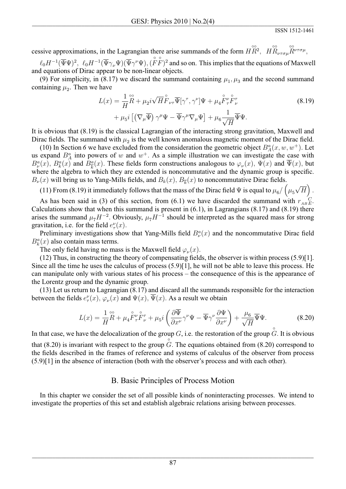cessive approximations, in the Lagrangian there arise summands of the form  $H\overset{\circ\circ}{R}$ ,  $H\overset{\circ\circ}{R}_{\nu\tau\sigma\mu}\overset{\circ\circ}{R}^{\nu\tau\sigma\mu}$ ,

 $\ell_0 H^{-1}(\overline{\Psi}\Psi)^2$ ,  $\ell_0 H^{-1}(\overline{\Psi}\gamma_\nu\Psi)(\overline{\Psi}\gamma^\nu\Psi)$ ,  $(\overrightarrow{F}\overrightarrow{F})^2$  and so on. This implies that the equations of Maxwell and equations of Dirac appear to be non-linear objects.

(9) For simplicity, in (8.17) we discard the summand containing  $\mu_1$ ,  $\mu_3$  and the second summand containing  $\mu_2$ . Then we have

$$
L(x) = \frac{1}{H}\overset{\circ\circ}{R} + \mu_2 i \sqrt{H}\overset{\circ}{F}_{\nu\tau}\overline{\Psi}[\gamma^\tau, \gamma^\nu]\Psi + \mu_4 \overset{\circ}{F}{}^\nu_{\tau} \overset{\circ}{F}{}^\tau_{\nu} + \mu_5 i \left[ \left( \nabla_{\mu} \overline{\Psi} \right) \gamma^{\mu} \Psi - \overline{\Psi} \gamma^{\mu} \nabla_{\mu} \Psi \right] + \mu_6 \frac{1}{\sqrt{H}} \overline{\Psi} \Psi.
$$
\n(8.19)

It is obvious that (8.19) is the classical Lagrangian of the interacting strong gravitation, Maxwell and Dirac fields. The summand with  $\mu_2$  is the well known anomalous magnetic moment of the Dirac field.

(10) In Section 6 we have excluded from the consideration the geometric object  $B_A^a(x, w, w^+)$ . Let us expand  $B_A^a$  into powers of w and  $w^+$ . As a simple illustration we can investigate the case with  $B_{\nu}^{a}(x)$ ,  $B_{k}^{a}(x)$  and  $B_{\overline{k}}^{a}(x)$ . These fields form constructions analogous to  $\varphi_{\nu}(x)$ ,  $\Psi(x)$  and  $\overline{\Psi}(x)$ , but where the algebra to which they are extended is noncommutative and the dynamic group is specific.  $B_{\nu}(x)$  will bring us to Yang-Mills fields, and  $B_k(x)$ ,  $B_{\overline{k}}(x)$  to noncommutative Dirac fields.

(11) From (8.19) it immediately follows that the mass of the Dirac field  $\Psi$  is equal to  $\mu_6 / (\mu_5 \sqrt{H})$ .

As has been said in (3) of this section, from (6.1) we have discarded the summand with  $r_{AB}^C E$ . Calculations show that when this summand is present in  $(6.1)$ , in Lagrangians  $(8.17)$  and  $(8.19)$  there arises the summand  $\mu_7 H^{-2}$ . Obviously,  $\mu_7 H^{-1}$  should be interpreted as the squared mass for strong gravitation, i.e. for the field  $e_{\tau}^{\nu}(x)$ .

Preliminary investigations show that Yang-Mills field  $B_{\nu}^a(x)$  and the noncommutative Dirac field  $B_{\mu}^{a}(x)$  also contain mass terms.

The only field having no mass is the Maxwell field  $\varphi_{\nu}(x)$ .

 $(12)$  Thus, in constructing the theory of compensating fields, the observer is within process  $(5.9)[1]$ . Since all the time he uses the calculus of process  $(5.9)[1]$ , he will not be able to leave this process. He can manipulate only with various states of his process – the consequence of this is the appearance of the Lorentz group and the dynamic group.

 $(13)$  Let us return to Lagrangian  $(8.17)$  and discard all the summands responsible for the interaction between the fields  $e_{\tau}^{\nu}(x)$ ,  $\varphi_{\nu}(x)$  and  $\Psi(x)$ ,  $\Psi(x)$ . As a result we obtain

$$
L(x) = \frac{1}{H}\mathring{R} + \mu_4 \mathring{F}^{\nu}_{\tau} \mathring{F}^{\tau}_{\nu} + \mu_5 i \left( \frac{\partial \overline{\Psi}}{\partial x^{\nu}} \gamma^{\nu} \Psi - \overline{\Psi} \gamma^{\nu} \frac{\partial \Psi}{\partial x^{\nu}} \right) + \frac{\mu_6}{\sqrt{H}} \overline{\Psi} \Psi.
$$
 (8.20)

In that case, we have the delocalization of the group G, i.e. the restoration of the group  $\hat{G}$ . It is obvious that  $(8.20)$  is invariant with respect to the group G. The equations obtained from  $(8.20)$  correspond to the fields described in the frames of reference and systems of calculus of the observer from process  $(5.9)$ [1] in the absence of interaction (both with the observer's process and with each other).

## B. Basic Principles of Process Motion

In this chapter we consider the set of all possible kinds of noninteracting processes. We intend to investigate the properties of this set and establish algebraic relations arising between processes.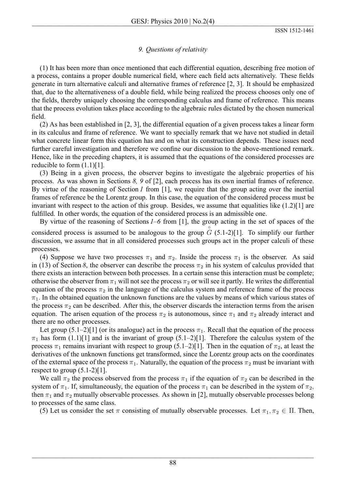## 9. Questions of relativity

(1) It has been more than once mentioned that each differential equation, describing free motion of a process, contains a proper double numerical field, where each field acts alternatively. These fields generate in turn alternative calculi and alternative frames of reference  $[2, 3]$ . It should be emphasized that, due to the alternativeness of a double field, while being realized the process chooses only one of the fields, thereby uniquely choosing the corresponding calculus and frame of reference. This means that the process evolution takes place according to the algebraic rules dictated by the chosen numerical field.

 $(2)$  As has been established in [2, 3], the differential equation of a given process takes a linear form in its calculus and frame of reference. We want to specially remark that we have not studied in detail what concrete linear form this equation has and on what its construction depends. These issues need further careful investigation and therefore we confine our discussion to the above-mentioned remark. Hence, like in the preceding chapters, it is assumed that the equations of the considered processes are reducible to form  $(1.1)$ [1].

(3) Being in a given process, the observer begins to investigate the algebraic properties of his process. As was shown in Sections 8, 9 of [2], each process has its own inertial frames of reference. By virtue of the reasoning of Section  $I$  from [1], we require that the group acting over the inertial frames of reference be the Lorentz group. In this case, the equation of the considered process must be invariant with respect to the action of this group. Besides, we assume that equalities like  $(1.2)[1]$  are fulfilled. In other words, the equation of the considered process is an admissible one.

By virtue of the reasoning of Sections  $1-6$  from [1], the group acting in the set of spaces of the considered process is assumed to be analogous to the group  $\tilde{G}$  (5.1-2)[1]. To simplify our further discussion, we assume that in all considered processes such groups act in the proper calculi of these processes.

(4) Suppose we have two processes  $\pi_1$  and  $\pi_2$ . Inside the process  $\pi_1$  is the observer. As said in (13) of Section 8, the observer can describe the process  $\pi_2$  in his system of calculus provided that there exists an interaction between both processes. In a certain sense this interaction must be complete; otherwise the observer from  $\pi_1$  will not see the process  $\pi_2$  or will see it partly. He writes the differential equation of the process  $\pi_2$  in the language of the calculus system and reference frame of the process  $\pi_1$ . In the obtained equation the unknown functions are the values by means of which various states of the process  $\pi_2$  can be described. After this, the observer discards the interaction terms from the arisen equation. The arisen equation of the process  $\pi_2$  is autonomous, since  $\pi_1$  and  $\pi_2$  already interact and there are no other processes.

Let group  $(5.1-2)[1]$  (or its analogue) act in the process  $\pi_1$ . Recall that the equation of the process  $\pi_1$  has form (1.1)[1] and is the invariant of group (5.1–2)[1]. Therefore the calculus system of the process  $\pi_1$  remains invariant with respect to group (5.1–2)[1]. Then in the equation of  $\pi_2$ , at least the derivatives of the unknown functions get transformed, since the Lorentz group acts on the coordinates of the external space of the process  $\pi_1$ . Naturally, the equation of the process  $\pi_2$  must be invariant with respect to group  $(5.1-2)[1]$ .

We call  $\pi_2$  the process observed from the process  $\pi_1$  if the equation of  $\pi_2$  can be described in the system of  $\pi_1$ . If, simultaneously, the equation of the process  $\pi_1$  can be described in the system of  $\pi_2$ , then  $\pi_1$  and  $\pi_2$  mutually observable processes. As shown in [2], mutually observable processes belong to processes of the same class.

(5) Let us consider the set  $\pi$  consisting of mutually observable processes. Let  $\pi_1, \pi_2 \in \Pi$ . Then,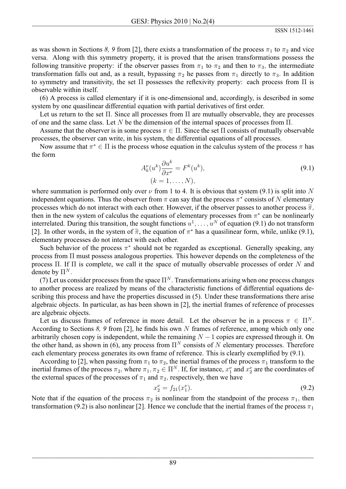as was shown in Sections 8, 9 from [2], there exists a transformation of the process  $\pi_1$  to  $\pi_2$  and vice versa. Along with this symmetry property, it is proved that the arisen transformations possess the following transitive property: if the observer passes from  $\pi_1$  to  $\pi_2$  and then to  $\pi_3$ , the intermediate transformation falls out and, as a result, bypassing  $\pi_2$  he passes from  $\pi_1$  directly to  $\pi_3$ . In addition to symmetry and transitivity, the set  $\Pi$  possesses the reflexivity property: each process from  $\Pi$  is observable within itself.

(6) A process is called elementary if it is one-dimensional and, accordingly, is described in some system by one quasilinear differential equation with partial derivatives of first order.

Let us return to the set  $\Pi$ . Since all processes from  $\Pi$  are mutually observable, they are processes of one and the same class. Let N be the dimension of the internal spaces of processes from  $\Pi$ .

Assume that the observer is in some process  $\pi \in \Pi$ . Since the set  $\Pi$  consists of mutually observable processes, the observer can write, in his system, the differential equations of all processes.

Now assume that  $\pi^* \in \Pi$  is the process whose equation in the calculus system of the process  $\pi$  has the form

$$
A_k^{\nu}(u^k)\frac{\partial u^k}{\partial x^{\nu}} = F^k(u^k),
$$
  
(k = 1, ..., N), (9.1)

where summation is performed only over  $\nu$  from 1 to 4. It is obvious that system (9.1) is split into N independent equations. Thus the observer from  $\pi$  can say that the process  $\pi^*$  consists of N elementary processes which do not interact with each other. However, if the observer passes to another process  $\tilde{\pi}$ , then in the new system of calculus the equations of elementary processes from  $\pi^*$  can be nonlinearly interrelated. During this transition, the sought functions  $u^1, \dots, u^N$  of equation (9.1) do not transform [2]. In other words, in the system of  $\tilde{\pi}$ , the equation of  $\pi^*$  has a quasilinear form, while, unlike (9.1), elementary processes do not interact with each other.

Such behavior of the process  $\pi^*$  should not be regarded as exceptional. Generally speaking, any process from  $\Pi$  must possess analogous properties. This however depends on the completeness of the process  $\Pi$ . If  $\Pi$  is complete, we call it the space of mutually observable processes of order N and denote by  $\Pi^N$ .

(7) Let us consider processes from the space  $\Pi^N$ . Transformations arising when one process changes to another process are realized by means of the characteristic functions of differential equations describing this process and have the properties discussed in (5). Under these transformations there arise algebraic objects. In particular, as has been shown in  $[2]$ , the inertial frames of reference of processes are algebraic objects.

Let us discuss frames of reference in more detail. Let the observer be in a process  $\pi \in \Pi^N$ . According to Sections 8, 9 from [2], he finds his own N frames of reference, among which only one arbitrarily chosen copy is independent, while the remaining  $N-1$  copies are expressed through it. On the other hand, as shown in (6), any process from  $\Pi^N$  consists of N elementary processes. Therefore each elementary process generates its own frame of reference. This is clearly exemplified by (9.1).

According to [2], when passing from  $\pi_1$  to  $\pi_2$ , the inertial frames of the process  $\pi_1$  transform to the inertial frames of the process  $\pi_2$ , where  $\pi_1, \pi_2 \in \Pi^N$ . If, for instance,  $x_1^{\nu}$  and  $x_2^{\nu}$  are the coordinates of the external spaces of the processes of  $\pi_1$  and  $\pi_2$ , respectively, then we have

$$
x_2^{\nu} = f_{21}(x_1^{\nu}). \tag{9.2}
$$

Note that if the equation of the process  $\pi_2$  is nonlinear from the standpoint of the process  $\pi_1$ , then transformation (9.2) is also nonlinear [2]. Hence we conclude that the inertial frames of the process  $\pi_1$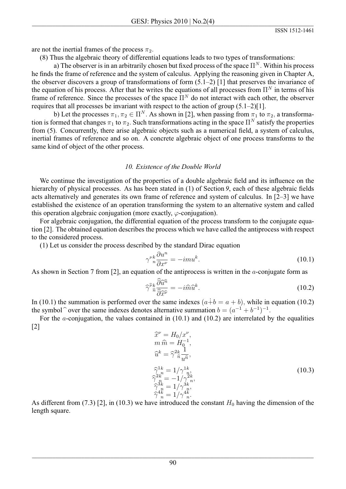are not the inertial frames of the process  $\pi_2$ .

(8) Thus the algebraic theory of differential equations leads to two types of transformations:

a) The observer is in an arbitrarily chosen but fixed process of the space  $\Pi^N$ . Within his process he finds the frame of reference and the system of calculus. Applying the reasoning given in Chapter A, the observer discovers a group of transformations of form  $(5.1-2)$  [1] that preserves the invariance of the equation of his process. After that he writes the equations of all processes from  $\Pi^N$  in terms of his frame of reference. Since the processes of the space  $\Pi^N$  do not interact with each other, the observer requires that all processes be invariant with respect to the action of group  $(5.1-2)[1]$ .

b) Let the processes  $\pi_1, \pi_2 \in \Pi^N$ . As shown in [2], when passing from  $\pi_1$  to  $\pi_2$ , a transformation is formed that changes  $\pi_1$  to  $\pi_2$ . Such transformations acting in the space  $\Pi^N$  satisfy the properties from (5). Concurrently, there arise algebraic objects such as a numerical field, a system of calculus, inertial frames of reference and so on. A concrete algebraic object of one process transforms to the same kind of object of the other process.

## 10. Existence of the Double World

We continue the investigation of the properties of a double algebraic field and its influence on the hierarchy of physical processes. As has been stated in (1) of Section 9, each of these algebraic fields acts alternatively and generates its own frame of reference and system of calculus. In  $[2-3]$  we have established the existence of an operation transforming the system to an alternative system and called this operation algebraic conjugation (more exactly,  $\varphi$ -conjugation).

For algebraic conjugation, the differential equation of the process transform to the conjugate equation [2]. The obtained equation describes the process which we have called the antiprocess with respect to the considered process.

(1) Let us consider the process described by the standard Dirac equation

$$
\gamma^{\nu k}_{n} \frac{\partial u^{n}}{\partial x^{\nu}} = -im u^{k}.\tag{10.1}
$$

As shown in Section 7 from [2], an equation of the antiprocess is written in the  $a$ -conjugate form as

$$
\widehat{\gamma}^{\widehat{\nu}k}_{\widehat{n}} \frac{\widehat{\partial} \widehat{u}^{\widehat{n}}}{\widehat{\partial} \widehat{x}^{\widehat{\nu}}} = -i \widehat{m} \widehat{u}^k. \tag{10.2}
$$

In (10.1) the summation is performed over the same indexes  $(a + b = a + b)$ , while in equation (10.2) the symbol  $\hat{ }$  over the same indexes denotes alternative summation  $b = (a^{-1} + b^{-1})^{-1}$ .

For the *a*-conjugation, the values contained in  $(10.1)$  and  $(10.2)$  are interrelated by the equalities  $\lceil 2 \rceil$ 

$$
\begin{aligned}\n\widehat{x}^{\nu} &= H_0 / x^{\nu}, \\
m \,\widehat{m} &= H_0^{-1}, \\
\widehat{u}^k &= \widehat{\gamma}^{2k} \frac{1}{u^{\widehat{n}}}, \\
\widehat{\gamma}^{1k}_{n} &= 1 / \gamma^{1k}_{n}, \\
\widehat{\gamma}^{3k}_{n} &= -1 / \gamma^{2k}_{n}, \\
\widehat{\gamma}^{4k}_{n} &= 1 / \gamma^{4k}_{n}, \\
\widehat{\gamma}^{4k}_{n} &= 1 / \gamma^{4k}_{n}.\n\end{aligned} \tag{10.3}
$$

As different from (7.3) [2], in (10.3) we have introduced the constant  $H_0$  having the dimension of the length square.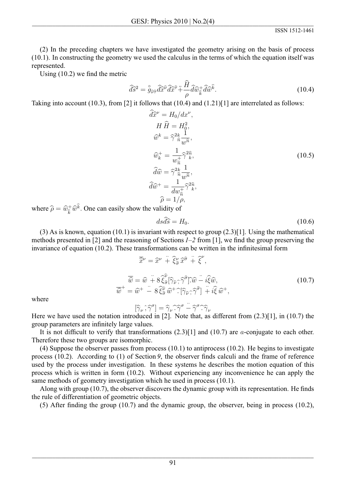(2) In the preceding chapters we have investigated the geometry arising on the basis of process  $(10.1)$ . In constructing the geometry we used the calculus in the terms of which the equation itself was represented.

Using  $(10.2)$  we find the metric

$$
\widehat{d}\widehat{s}^2 = \stackrel{\circ}{g}_{\widehat{\nu}\widehat{\tau}} \widehat{d}\widehat{x}^{\widehat{\nu}} \widehat{d}\widehat{x}^{\widehat{\tau}} + \frac{\widehat{H}}{\rho} \widehat{d}\widehat{w}_{\widehat{k}}^+ \widehat{d}\widehat{w}^{\widehat{k}}.
$$
\n(10.4)

Taking into account (10.3), from [2] it follows that (10.4) and (1.21)[1] are interrelated as follows:

$$
\widehat{d}\widehat{x}^{\nu} = H_0/dx^{\nu}, \nH \widehat{H} = H_0^2, \n\widehat{w}^k = \widehat{\gamma}^2 \widehat{n} \frac{1}{w \widehat{n}}, \n\widehat{w}_k^+ = \frac{1}{w_{\widehat{n}}^+} \widehat{\gamma}^2 \widehat{n}, \n\widehat{d}\widehat{w} = \widehat{\gamma}^2 \widehat{n} \frac{1}{w \widehat{n}}, \n\widehat{d}\widehat{w}^+ = \frac{1}{dw_{\widehat{n}}^+} \widehat{\gamma}^2 \widehat{n}, \n\widehat{\rho} = 1/\rho,
$$
\n(10.5)

where  $\hat{\rho} = \hat{w}_{\hat{k}}^{\dagger} \hat{w}^{\hat{k}}$ . One can easily show the validity of

$$
ds\widehat{d}\widehat{s} = H_0.\tag{10.6}
$$

(3) As is known, equation (10.1) is invariant with respect to group  $(2.3)[1]$ . Using the mathematical methods presented in [2] and the reasoning of Sections  $1-2$  from [1], we find the group preserving the invariance of equation (10.2). These transformations can be written in the infinitesimal form

$$
\overline{\hat{x}}^{\nu} = \hat{x}^{\nu} + \xi_{\hat{\sigma}}^{\nu} \hat{x}^{\hat{\sigma}} + \xi^{\nu},
$$
\n
$$
\overline{\hat{w}} = \hat{w} + 8 \hat{\xi}_{\hat{\sigma}}^{\hat{\nu}} [\hat{\gamma}_{\hat{\nu}}, \hat{\gamma}^{\hat{\sigma}}] \hat{w} - i \hat{\xi} \hat{w},
$$
\n
$$
\overline{\hat{w}}^{+} = \hat{w}^{+} - 8 \hat{\xi}_{\hat{\sigma}}^{\hat{\nu}} \hat{w}^{+} \hat{\gamma}_{\hat{\nu}} \hat{\gamma}_{\hat{\sigma}} \hat{\gamma}^{\hat{\sigma}}] + i \hat{\xi} \hat{w}^{+},
$$
\n(10.7)

where

$$
[\widehat{\gamma}_{\nu}\, , \widehat{\gamma}^{\sigma}] = \widehat{\gamma}_{\nu}\, \widehat{\cdot}\, \widehat{\gamma}^{\sigma} - \widehat{\gamma}^{\sigma}\, \widehat{\cdot}\, \widehat{\gamma}_{\nu}
$$

Here we have used the notation introduced in [2]. Note that, as different from  $(2.3)$ [1], in  $(10.7)$  the group parameters are infinitely large values.

It is not difficult to verify that transformations  $(2.3)$ [1] and  $(10.7)$  are *a*-conjugate to each other. Therefore these two groups are isomorphic.

 $(4)$  Suppose the observer passes from process  $(10.1)$  to antiprocess  $(10.2)$ . He begins to investigate process  $(10.2)$ . According to  $(1)$  of Section 9, the observer finds calculi and the frame of reference used by the process under investigation. In these systems he describes the motion equation of this process which is written in form  $(10.2)$ . Without experiencing any inconvenience he can apply the same methods of geometry investigation which he used in process (10.1).

Along with group  $(10.7)$ , the observer discovers the dynamic group with its representation. He finds the rule of differentiation of geometric objects.

(5) After finding the group (10.7) and the dynamic group, the observer, being in process (10.2),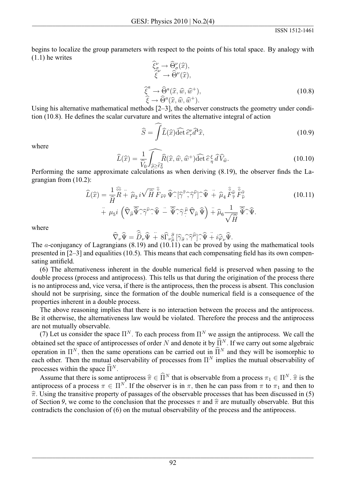begins to localize the group parameters with respect to the points of his total space. By analogy with  $(1.1)$  he writes

$$
\begin{aligned}\n\widehat{\xi}_{\sigma}^{\nu} &\rightarrow \widehat{\Theta}_{\sigma}^{\nu}(\widehat{x}), \\
\widehat{\xi}^{\nu} &\rightarrow \widehat{\Theta}^{\nu}(\widehat{x}), \\
\widehat{\xi}^{\alpha} &\rightarrow \widehat{\Theta}^{\alpha}(\widehat{x}, \widehat{w}, \widehat{w}^{+}), \\
\widehat{\xi} &\rightarrow \widehat{\Theta}^{\alpha}(\widehat{x}, \widehat{w}, \widehat{w}^{+}).\n\end{aligned}
$$
\n(10.8)

Using his alternative mathematical methods  $[2-3]$ , the observer constructs the geometry under condition (10.8). He defines the scalar curvature and writes the alternative integral of action

$$
\widehat{S} = \widehat{\int} \widehat{L}(\widehat{x}) \widehat{\det} \, \widehat{e}^{\nu}_{\tau} \widehat{d}^4 \widehat{x}, \tag{10.9}
$$

where

$$
\widehat{L}(\widehat{x}) = \frac{1}{\widehat{V}_0} \widehat{\int_{\widehat{\rho} \ge \widehat{\ell}_0^2} \widehat{R}(\widehat{x}, \widehat{w}, \widehat{w}^+) \widehat{\det} \,\widehat{e}_{\eta}^{\xi} \,\widehat{d} \,\widehat{V}_{\widehat{w}}. \tag{10.10}
$$

Performing the same approximate calculations as when deriving (8.19), the observer finds the Lagrangian from  $(10.2)$ :

$$
\widehat{L}(\widehat{x}) = \frac{1}{\widehat{H}} \widehat{R} + \widehat{\mu}_2 i \sqrt{\widehat{H}} \widehat{F}_{\widehat{\nu}\widehat{\tau}} \widehat{\Psi} \widehat{\cdot} [\widehat{\gamma}^{\widehat{\tau}}, \widehat{\gamma}^{\widehat{\nu}}] \widehat{\cdot} \widehat{\Psi} + \widehat{\mu}_4 \widehat{F}_{\widehat{\tau}}^{\widehat{\rho}} \widehat{F}_{\widehat{\nu}}^{\widehat{\tau}} \n+ \mu_5 i \left( \widehat{\nabla}_{\widehat{\mu}} \overline{\widehat{\Psi}} \widehat{\cdot} \widehat{\gamma}^{\widehat{\nu}} \widehat{\cdot} \widehat{\Psi} - \overline{\widehat{\Psi}} \widehat{\cdot} \widehat{\gamma}^{\widehat{\mu}} \widehat{\nabla}_{\widehat{\mu}} \widehat{\Psi} \right) + \widehat{\mu}_6 \frac{1}{\sqrt{\widehat{H}}} \overline{\widehat{\Psi}} \widehat{\cdot} \widehat{\Psi}.
$$
\n(10.11)

where

$$
\widehat{\nabla}_{\nu}\widehat{\Psi} = \widehat{\widehat{D}}_{\nu}\widehat{\Psi} + 8\widehat{\Gamma}_{\nu\widehat{\mu}}\widehat{\sigma} [\widehat{\gamma}_{\widehat{\sigma}}, \widehat{\gamma}^{\widehat{\mu}}] \widehat{\Psi} + i\widehat{\varphi}_{\nu}\widehat{\Psi}.
$$

The *a*-conjugancy of Lagrangians  $(8.19)$  and  $(10.11)$  can be proved by using the mathematical tools presented in  $[2-3]$  and equalities (10.5). This means that each compensating field has its own compensating antifield.

(6) The alternativeness inherent in the double numerical field is preserved when passing to the double process (process and antiprocess). This tells us that during the origination of the process there is no antiprocess and, vice versa, if there is the antiprocess, then the process is absent. This conclusion should not be surprising, since the formation of the double numerical field is a consequence of the properties inherent in a double process.

The above reasoning implies that there is no interaction between the process and the antiprocess. Be it otherwise, the alternativeness law would be violated. Therefore the process and the antiprocess are not mutually observable.

(7) Let us consider the space  $\Pi^N$ . To each process from  $\Pi^N$  we assign the antiprocess. We call the obtained set the space of antiprocesses of order N and denote it by  $\widehat{\Pi}^N$ . If we carry out some algebraic operation in  $\Pi^N$ , then the same operations can be carried out in  $\widehat{\Pi}^N$  and they will be isomorphic to each other. Then the mutual observability of processes from  $\Pi^N$  implies the mutual observability of processes within the space  $\widehat{\Pi}^N$ .

Assume that there is some antiprocess  $\hat{\pi} \in \hat{\Pi}^N$  that is observable from a process  $\pi_1 \in \Pi^N$ .  $\hat{\pi}$  is the antiprocess of a process  $\pi \in \Pi^N$ . If the observer is in  $\pi$ , then he can pass from  $\pi$  to  $\pi_1$  and then to  $\hat{\pi}$ . Using the transitive property of passages of the observable processes that has been discussed in (5) of Section 9, we come to the conclusion that the processes  $\pi$  and  $\hat{\pi}$  are mutually observable. But this contradicts the conclusion of (6) on the mutual observability of the process and the antiprocess.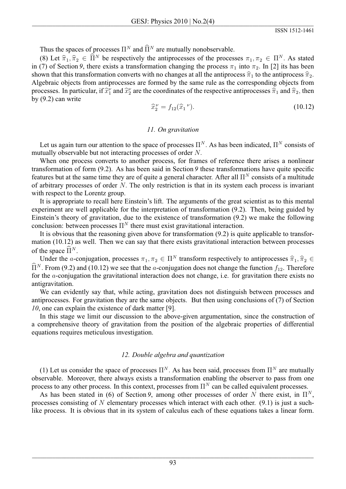Thus the spaces of processes  $\Pi^N$  and  $\widehat{\Pi}^N$  are mutually nonobservable.

(8) Let  $\hat{\pi}_1, \hat{\pi}_2 \in \hat{\Pi}^N$  be respectively the antiprocesses of the processes  $\pi_1, \pi_2 \in \Pi^N$ . As stated in (7) of Section 9, there exists a transformation changing the process  $\pi_1$  into  $\pi_2$ . In [2] its has been shown that this transformation converts with no changes at all the antiprocess  $\hat{\pi}_1$  to the antiprocess  $\hat{\pi}_2$ . Algebraic objects from antiprocesses are formed by the same rule as the corresponding objects from processes. In particular, if  $\hat{x}_1^{\nu}$  and  $\hat{x}_2^{\nu}$  are the coordinates of the respective antiprocesses  $\hat{\pi}_1$  and  $\hat{\pi}_2$ , then by  $(9.2)$  can write

$$
\widehat{x}_2^{\nu} = f_{12}(\widehat{x}_1^{\ \nu}).\tag{10.12}
$$

#### 11. On gravitation

Let us again turn our attention to the space of processes  $\Pi^N$ . As has been indicated,  $\Pi^N$  consists of mutually observable but not interacting processes of order N.

When one process converts to another process, for frames of reference there arises a nonlinear transformation of form  $(9.2)$ . As has been said in Section 9 these transformations have quite specific features but at the same time they are of quite a general character. After all  $\Pi^N$  consists of a multitude of arbitrary processes of order  $N$ . The only restriction is that in its system each process is invariant with respect to the Lorentz group.

It is appropriate to recall here Einstein's lift. The arguments of the great scientist as to this mental experiment are well applicable for the interpretation of transformation (9.2). Then, being guided by Einstein's theory of gravitation, due to the existence of transformation (9.2) we make the following conclusion: between processes  $\Pi^N$  there must exist gravitational interaction.

It is obvious that the reasoning given above for transformation  $(9.2)$  is quite applicable to transformation (10.12) as well. Then we can say that there exists gravitational interaction between processes of the space  $\widehat{\Pi}^N$ .

Under the *a*-conjugation, processes  $\pi_1, \pi_2 \in \Pi^N$  transform respectively to antiprocesses  $\hat{\pi}_1, \hat{\pi}_2 \in$  $\widehat{\Pi}^N$ . From (9.2) and (10.12) we see that the *a*-conjugation does not change the function  $f_{12}$ . Therefore for the  $a$ -conjugation the gravitational interaction does not change, i.e. for gravitation there exists no antigravitation.

We can evidently say that, while acting, gravitation does not distinguish between processes and antiprocesses. For gravitation they are the same objects. But then using conclusions of (7) of Section 10, one can explain the existence of dark matter [9].

In this stage we limit our discussion to the above-given argumentation, since the construction of a comprehensive theory of gravitation from the position of the algebraic properties of differential equations requires meticulous investigation.

### 12. Double algebra and quantization

(1) Let us consider the space of processes  $\Pi^N$ . As has been said, processes from  $\Pi^N$  are mutually observable. Moreover, there always exists a transformation enabling the observer to pass from one process to any other process. In this context, processes from  $\Pi^N$  can be called equivalent processes.

As has been stated in (6) of Section 9, among other processes of order N there exist, in  $\Pi^N$ , processes consisting of  $N$  elementary processes which interact with each other. (9.1) is just a suchlike process. It is obvious that in its system of calculus each of these equations takes a linear form.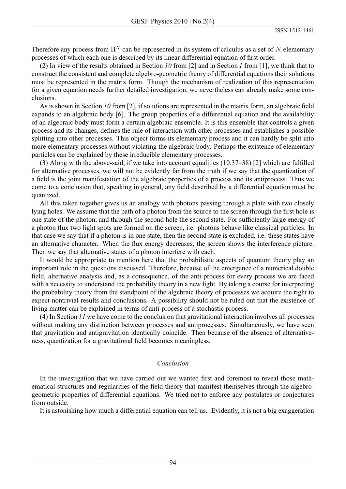Therefore any process from  $\Pi^N$  can be represented in its system of calculus as a set of N elementary processes of which each one is described by its linear differential equation of first order.

(2) In view of the results obtained in Section 10 from [2] and in Section 1 from [1], we think that to construct the consistent and complete algebro-geometric theory of differential equations their solutions must be represented in the matrix form. Though the mechanism of realization of this representation for a given equation needs further detailed investigation, we nevertheless can already make some conclusions.

As is shown in Section 10 from [2], if solutions are represented in the matrix form, an algebraic field expands to an algebraic body [6]. The group properties of a differential equation and the availability of an algebraic body must form a certain algebraic ensemble. It is this ensemble that controls a given process and its changes, defines the rule of interaction with other processes and establishes a possible splitting into other processes. This object forms its elementary process and it can hardly be split into more elementary processes without violating the algebraic body. Perhaps the existence of elementary particles can be explained by these irreducible elementary processes.

(3) Along with the above-said, if we take into account equalities  $(10.37-38)$  [2] which are fulfilled for alternative processes, we will not be evidently far from the truth if we say that the quantization of a field is the joint manifestation of the algebraic properties of a process and its antiprocess. Thus we come to a conclusion that, speaking in general, any field described by a differential equation must be quantized.

All this taken together gives us an analogy with photons passing through a plate with two closely lying holes. We assume that the path of a photon from the source to the screen through the first hole is one state of the photon, and through the second hole the second state. For sufficiently large energy of a photon flux two light spots are formed on the screen, *i.e.* photons behave like classical particles. In that case we say that if a photon is in one state, then the second state is excluded, i.e. these states have an alternative character. When the flux energy decreases, the screen shows the interference picture. Then we say that alternative states of a photon interfere with each.

It would be appropriate to mention here that the probabilistic aspects of quantum theory play an important role in the questions discussed. Therefore, because of the emergence of a numerical double field, alternative analysis and, as a consequence, of the anti-process for every process we are faced with a necessity to understand the probability theory in a new light. By taking a course for interpreting the probability theory from the standpoint of the algebraic theory of processes we acquire the right to expect nontrivial results and conclusions. A possibility should not be ruled out that the existence of living matter can be explained in terms of anti-process of a stochastic process.

 $(4)$  In Section 11 we have come to the conclusion that gravitational interaction involves all processes without making any distinction between processes and antiprocesses. Simultaneously, we have seen that gravitation and antigravitation identically coincide. Then because of the absence of alternativeness, quantization for a gravitational field becomes meaningless.

## Conclusion

In the investigation that we have carried out we wanted first and foremost to reveal those mathematical structures and regularities of the field theory that manifest themselves through the algebrogeometric properties of differential equations. We tried not to enforce any postulates or conjectures from outside.

It is astonishing how much a differential equation can tell us. Evidently, it is not a big exaggeration